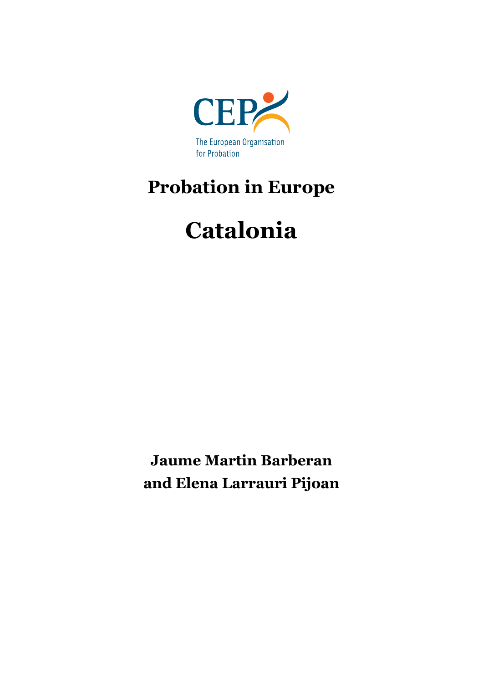

## **Probation in Europe**

# **Catalonia**

**Jaume Martin Barberan and Elena Larrauri Pijoan**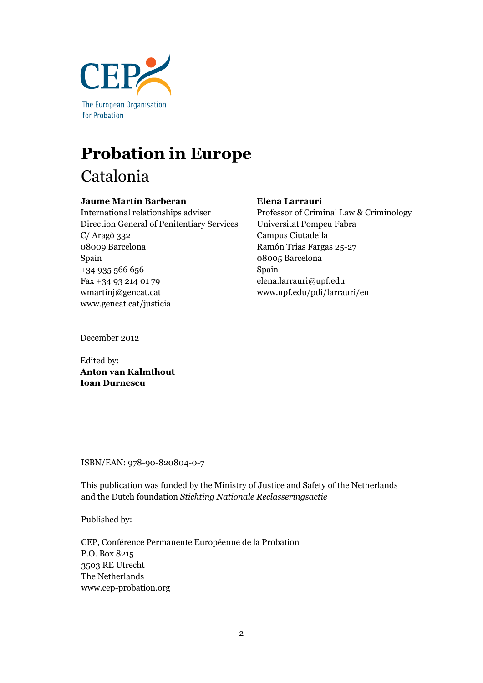

## **Probation in Europe** Catalonia

#### **Jaume Martín Barberan**

International relationships adviser Direction General of Penitentiary Services C/ Aragò 332 08009 Barcelona Spain +34 935 566 656 Fax +34 93 214 01 79 wmartinj@gencat.cat www.gencat.cat/justicia

#### **Elena Larrauri**

Professor of Criminal Law & Criminology Universitat Pompeu Fabra Campus Ciutadella Ramón Trias Fargas 25-27 08005 Barcelona Spain elena.larrauri@upf.edu www.upf.edu/pdi/larrauri/en

December 2012

Edited by: **Anton van Kalmthout Ioan Durnescu**

ISBN/EAN: 978-90-820804-0-7

This publication was funded by the Ministry of Justice and Safety of the Netherlands and the Dutch foundation *Stichting Nationale Reclasseringsactie*

Published by:

CEP, Conférence Permanente Européenne de la Probation P.O. Box 8215 3503 RE Utrecht The Netherlands www.cep-probation.org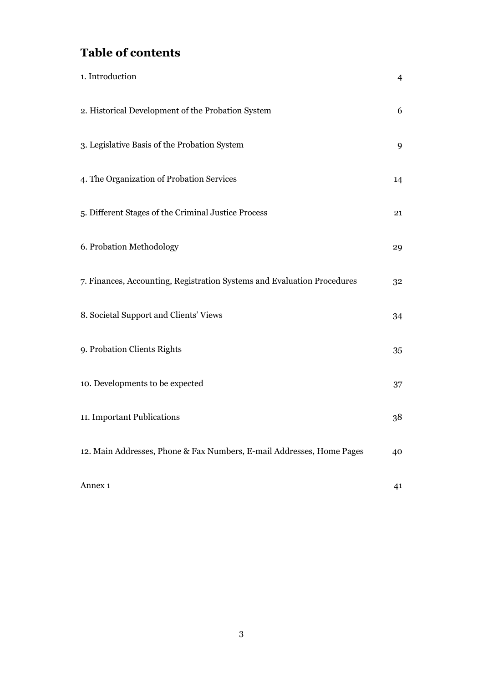## **Table of contents**

| 1. Introduction                                                         | $\overline{4}$ |
|-------------------------------------------------------------------------|----------------|
| 2. Historical Development of the Probation System                       | 6              |
| 3. Legislative Basis of the Probation System                            | 9              |
| 4. The Organization of Probation Services                               | 14             |
| 5. Different Stages of the Criminal Justice Process                     | 21             |
| 6. Probation Methodology                                                | 29             |
| 7. Finances, Accounting, Registration Systems and Evaluation Procedures | 32             |
| 8. Societal Support and Clients' Views                                  | 34             |
| 9. Probation Clients Rights                                             | 35             |
| 10. Developments to be expected                                         | 37             |
| 11. Important Publications                                              | 38             |
| 12. Main Addresses, Phone & Fax Numbers, E-mail Addresses, Home Pages   | 40             |
| Annex <sub>1</sub>                                                      | 41             |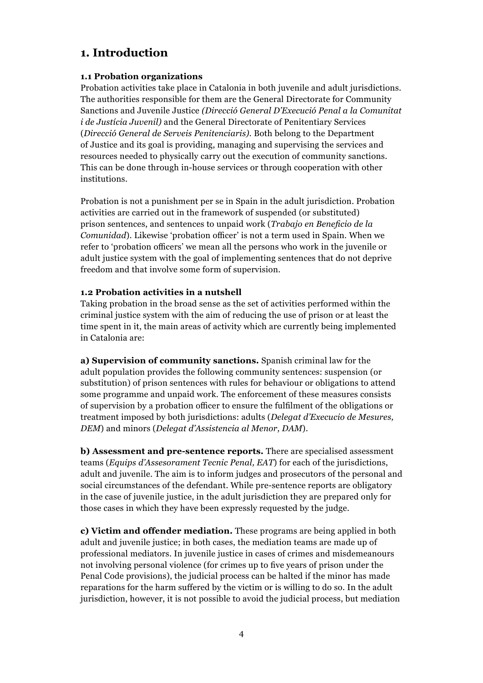## **1. Introduction**

#### **1.1 Probation organizations**

Probation activities take place in Catalonia in both juvenile and adult jurisdictions. The authorities responsible for them are the General Directorate for Community Sanctions and Juvenile Justice *(Direcció General D'Execució Penal a la Comunitat i de Justícia Juvenil)* and the General Directorate of Penitentiary Services (*Direcció General de Serveis Penitenciaris).* Both belong to the Department of Justice and its goal is providing, managing and supervising the services and resources needed to physically carry out the execution of community sanctions. This can be done through in-house services or through cooperation with other institutions.

Probation is not a punishment per se in Spain in the adult jurisdiction. Probation activities are carried out in the framework of suspended (or substituted) prison sentences, and sentences to unpaid work (*Trabajo en Beneficio de la Comunidad*). Likewise 'probation officer' is not a term used in Spain. When we refer to 'probation officers' we mean all the persons who work in the juvenile or adult justice system with the goal of implementing sentences that do not deprive freedom and that involve some form of supervision.

#### **1.2 Probation activities in a nutshell**

Taking probation in the broad sense as the set of activities performed within the criminal justice system with the aim of reducing the use of prison or at least the time spent in it, the main areas of activity which are currently being implemented in Catalonia are:

**a) Supervision of community sanctions.** Spanish criminal law for the adult population provides the following community sentences: suspension (or substitution) of prison sentences with rules for behaviour or obligations to attend some programme and unpaid work. The enforcement of these measures consists of supervision by a probation officer to ensure the fulfilment of the obligations or treatment imposed by both jurisdictions: adults (*Delegat d'Execucio de Mesures, DEM*) and minors (*Delegat d'Assistencia al Menor, DAM*).

**b) Assessment and pre-sentence reports.** There are specialised assessment teams (*Equips d'Assesorament Tecnic Penal, EAT*) for each of the jurisdictions, adult and juvenile. The aim is to inform judges and prosecutors of the personal and social circumstances of the defendant. While pre-sentence reports are obligatory in the case of juvenile justice, in the adult jurisdiction they are prepared only for those cases in which they have been expressly requested by the judge.

**c) Victim and offender mediation.** These programs are being applied in both adult and juvenile justice; in both cases, the mediation teams are made up of professional mediators. In juvenile justice in cases of crimes and misdemeanours not involving personal violence (for crimes up to five years of prison under the Penal Code provisions), the judicial process can be halted if the minor has made reparations for the harm suffered by the victim or is willing to do so. In the adult jurisdiction, however, it is not possible to avoid the judicial process, but mediation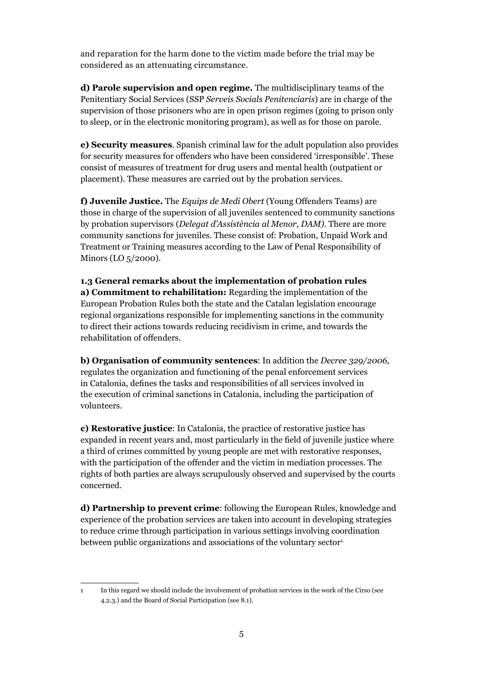and reparation for the harm done to the victim made before the trial may be considered as an attenuating circumstance.

**d) Parole supervision and open regime.** The multidisciplinary teams of the Penitentiary Social Services (SSP *Serveis Socials Penitenciaris*) are in charge of the supervision of those prisoners who are in open prison regimes (going to prison only to sleep, or in the electronic monitoring program), as well as for those on parole.

**e) Security measures**. Spanish criminal law for the adult population also provides for security measures for offenders who have been considered 'irresponsible'. These consist of measures of treatment for drug users and mental health (outpatient or placement). These measures are carried out by the probation services.

**f) Juvenile Justice.** The *Equips de Medi Obert* (Young Offenders Teams) are those in charge of the supervision of all juveniles sentenced to community sanctions by probation supervisors (*Delegat d'Assistència al Menor, DAM).* There are more community sanctions for juveniles. These consist of: Probation, Unpaid Work and Treatment or Training measures according to the Law of Penal Responsibility of Minors (LO 5/2000).

**1.3 General remarks about the implementation of probation rules a) Commitment to rehabilitation:** Regarding the implementation of the European Probation Rules both the state and the Catalan legislation encourage regional organizations responsible for implementing sanctions in the community to direct their actions towards reducing recidivism in crime, and towards the rehabilitation of offenders.

**b) Organisation of community sentences**: In addition the *Decree 329/2006,*  regulates the organization and functioning of the penal enforcement services in Catalonia, defines the tasks and responsibilities of all services involved in the execution of criminal sanctions in Catalonia, including the participation of volunteers.

**c) Restorative justice**: In Catalonia, the practice of restorative justice has expanded in recent years and, most particularly in the field of juvenile justice where a third of crimes committed by young people are met with restorative responses, with the participation of the offender and the victim in mediation processes. The rights of both parties are always scrupulously observed and supervised by the courts concerned.

**d) Partnership to prevent crime**: following the European Rules, knowledge and experience of the probation services are taken into account in developing strategies to reduce crime through participation in various settings involving coordination between public organizations and associations of the voluntary sector<sup>1</sup>.

<sup>1</sup> In this regard we should include the involvement of probation services in the work of the Cirso (see 4.2.3.) and the Board of Social Participation (see 8.1).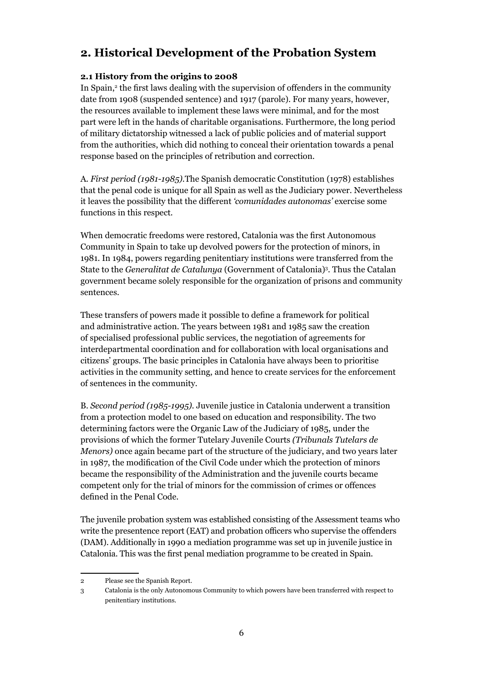## **2. Historical Development of the Probation System**

#### **2.1 History from the origins to 2008**

In Spain,<sup>2</sup> the first laws dealing with the supervision of offenders in the community date from 1908 (suspended sentence) and 1917 (parole). For many years, however, the resources available to implement these laws were minimal, and for the most part were left in the hands of charitable organisations. Furthermore, the long period of military dictatorship witnessed a lack of public policies and of material support from the authorities, which did nothing to conceal their orientation towards a penal response based on the principles of retribution and correction.

A*. First period (1981-1985).*The Spanish democratic Constitution (1978) establishes that the penal code is unique for all Spain as well as the Judiciary power. Nevertheless it leaves the possibility that the different *'comunidades autonomas'* exercise some functions in this respect.

When democratic freedoms were restored, Catalonia was the first Autonomous Community in Spain to take up devolved powers for the protection of minors, in 1981. In 1984, powers regarding penitentiary institutions were transferred from the State to the *Generalitat de Catalunya* (Government of Catalonia)3 . Thus the Catalan government became solely responsible for the organization of prisons and community sentences.

These transfers of powers made it possible to define a framework for political and administrative action. The years between 1981 and 1985 saw the creation of specialised professional public services, the negotiation of agreements for interdepartmental coordination and for collaboration with local organisations and citizens' groups. The basic principles in Catalonia have always been to prioritise activities in the community setting, and hence to create services for the enforcement of sentences in the community.

B. *Second period (1985-1995).* Juvenile justice in Catalonia underwent a transition from a protection model to one based on education and responsibility. The two determining factors were the Organic Law of the Judiciary of 1985, under the provisions of which the former Tutelary Juvenile Courts *(Tribunals Tutelars de Menors)* once again became part of the structure of the judiciary, and two years later in 1987, the modification of the Civil Code under which the protection of minors became the responsibility of the Administration and the juvenile courts became competent only for the trial of minors for the commission of crimes or offences defined in the Penal Code.

The juvenile probation system was established consisting of the Assessment teams who write the presentence report (EAT) and probation officers who supervise the offenders (DAM). Additionally in 1990 a mediation programme was set up in juvenile justice in Catalonia. This was the first penal mediation programme to be created in Spain.

<sup>2</sup> Please see the Spanish Report.

<sup>3</sup> Catalonia is the only Autonomous Community to which powers have been transferred with respect to penitentiary institutions.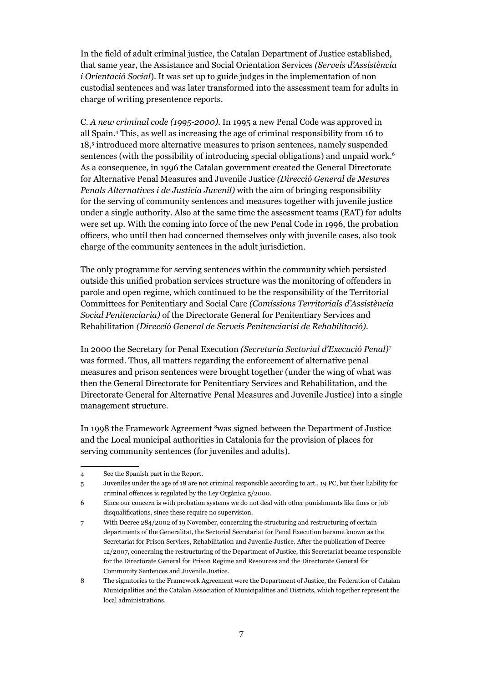In the field of adult criminal justice, the Catalan Department of Justice established, that same year, the Assistance and Social Orientation Services *(Serveis d'Assistència i Orientació Social*). It was set up to guide judges in the implementation of non custodial sentences and was later transformed into the assessment team for adults in charge of writing presentence reports.

C. *A new criminal code (1995-2000)*. In 1995 a new Penal Code was approved in all Spain.4 This, as well as increasing the age of criminal responsibility from 16 to 18,5 introduced more alternative measures to prison sentences, namely suspended sentences (with the possibility of introducing special obligations) and unpaid work.<sup>6</sup> As a consequence, in 1996 the Catalan government created the General Directorate for Alternative Penal Measures and Juvenile Justice *(Direcció General de Mesures Penals Alternatives i de Justícia Juvenil)* with the aim of bringing responsibility for the serving of community sentences and measures together with juvenile justice under a single authority. Also at the same time the assessment teams (EAT) for adults were set up. With the coming into force of the new Penal Code in 1996, the probation officers, who until then had concerned themselves only with juvenile cases, also took charge of the community sentences in the adult jurisdiction.

The only programme for serving sentences within the community which persisted outside this unified probation services structure was the monitoring of offenders in parole and open regime, which continued to be the responsibility of the Territorial Committees for Penitentiary and Social Care *(Comissions Territorials d'Assistència Social Penitenciaria)* of the Directorate General for Penitentiary Services and Rehabilitation *(Direcció General de Serveis Penitenciarisi de Rehabilitació)*.

In 2000 the Secretary for Penal Execution *(Secretaria Sectorial d'Execució Penal)7* was formed. Thus, all matters regarding the enforcement of alternative penal measures and prison sentences were brought together (under the wing of what was then the General Directorate for Penitentiary Services and Rehabilitation, and the Directorate General for Alternative Penal Measures and Juvenile Justice) into a single management structure.

In 1998 the Framework Agreement 8was signed between the Department of Justice and the Local municipal authorities in Catalonia for the provision of places for serving community sentences (for juveniles and adults).

<sup>4</sup> See the Spanish part in the Report.

<sup>5</sup> Juveniles under the age of 18 are not criminal responsible according to art., 19 PC, but their liability for criminal offences is regulated by the Ley Orgánica 5/2000.

<sup>6</sup> Since our concern is with probation systems we do not deal with other punishments like fines or job disqualifications, since these require no supervision.

<sup>7</sup> With Decree 284/2002 of 19 November, concerning the structuring and restructuring of certain departments of the Generalitat, the Sectorial Secretariat for Penal Execution became known as the Secretariat for Prison Services, Rehabilitation and Juvenile Justice. After the publication of Decree 12/2007, concerning the restructuring of the Department of Justice, this Secretariat became responsible for the Directorate General for Prison Regime and Resources and the Directorate General for Community Sentences and Juvenile Justice.

<sup>8</sup> The signatories to the Framework Agreement were the Department of Justice, the Federation of Catalan Municipalities and the Catalan Association of Municipalities and Districts, which together represent the local administrations.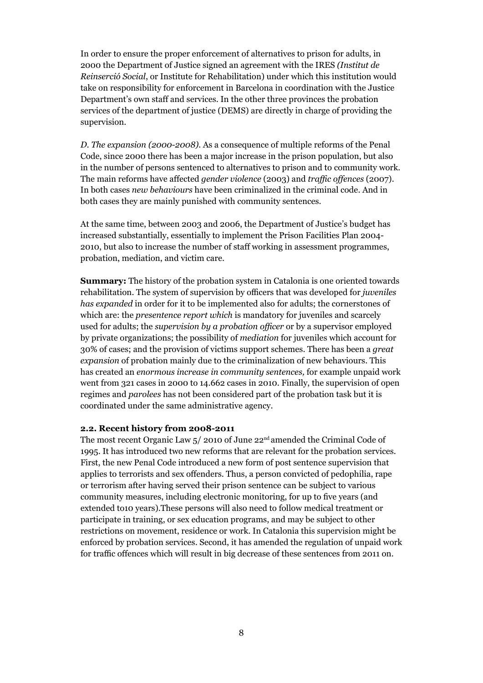In order to ensure the proper enforcement of alternatives to prison for adults, in 2000 the Department of Justice signed an agreement with the IRES *(Institut de Reinserció Social*, or Institute for Rehabilitation) under which this institution would take on responsibility for enforcement in Barcelona in coordination with the Justice Department's own staff and services. In the other three provinces the probation services of the department of justice (DEMS) are directly in charge of providing the supervision.

*D. The expansion (2000-2008).* As a consequence of multiple reforms of the Penal Code, since 2000 there has been a major increase in the prison population, but also in the number of persons sentenced to alternatives to prison and to community work. The main reforms have affected *gender violence* (2003) and *traffic offences* (2007). In both cases *new behaviours* have been criminalized in the criminal code. And in both cases they are mainly punished with community sentences.

At the same time, between 2003 and 2006, the Department of Justice's budget has increased substantially, essentially to implement the Prison Facilities Plan 2004- 2010, but also to increase the number of staff working in assessment programmes, probation, mediation, and victim care.

**Summary:** The history of the probation system in Catalonia is one oriented towards rehabilitation. The system of supervision by officers that was developed for *juveniles has expanded* in order for it to be implemented also for adults; the cornerstones of which are: the *presentence report which* is mandatory for juveniles and scarcely used for adults; the *supervision by a probation officer* or by a supervisor employed by private organizations; the possibility of *mediation* for juveniles which account for 30% of cases; and the provision of victims support schemes. There has been a *great expansion* of probation mainly due to the criminalization of new behaviours. This has created an *enormous increase in community sentences,* for example unpaid work went from 321 cases in 2000 to 14.662 cases in 2010. Finally, the supervision of open regimes and *parolees* has not been considered part of the probation task but it is coordinated under the same administrative agency.

#### **2.2. Recent history from 2008-2011**

The most recent Organic Law  $5/2010$  of June  $22<sup>nd</sup>$  amended the Criminal Code of 1995. It has introduced two new reforms that are relevant for the probation services. First, the new Penal Code introduced a new form of post sentence supervision that applies to terrorists and sex offenders. Thus, a person convicted of pedophilia, rape or terrorism after having served their prison sentence can be subject to various community measures, including electronic monitoring, for up to five years (and extended to10 years).These persons will also need to follow medical treatment or participate in training, or sex education programs, and may be subject to other restrictions on movement, residence or work. In Catalonia this supervision might be enforced by probation services. Second, it has amended the regulation of unpaid work for traffic offences which will result in big decrease of these sentences from 2011 on.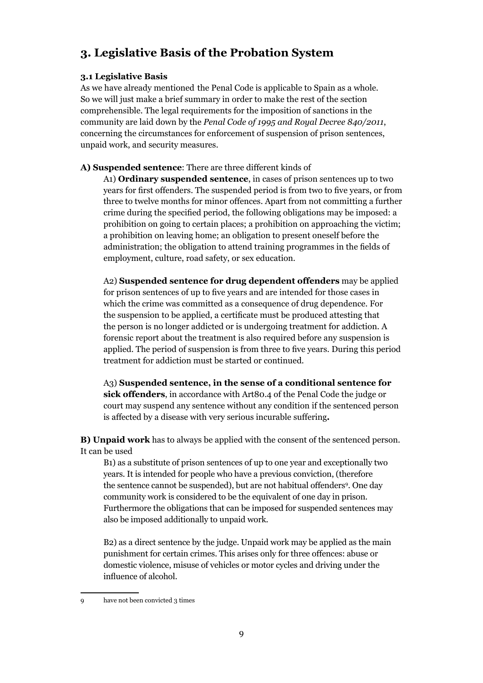## **3. Legislative Basis of the Probation System**

#### **3.1 Legislative Basis**

As we have already mentioned the Penal Code is applicable to Spain as a whole. So we will just make a brief summary in order to make the rest of the section comprehensible. The legal requirements for the imposition of sanctions in the community are laid down by the *Penal Code of 1995 and Royal Decree 840/2011*, concerning the circumstances for enforcement of suspension of prison sentences, unpaid work, and security measures.

**A) Suspended sentence**: There are three different kinds of

 A1) **Ordinary suspended sentence**, in cases of prison sentences up to two years for first offenders. The suspended period is from two to five years, or from three to twelve months for minor offences. Apart from not committing a further crime during the specified period, the following obligations may be imposed: a prohibition on going to certain places; a prohibition on approaching the victim; a prohibition on leaving home; an obligation to present oneself before the administration; the obligation to attend training programmes in the fields of employment, culture, road safety, or sex education.

 A2) **Suspended sentence for drug dependent offenders** may be applied for prison sentences of up to five years and are intended for those cases in which the crime was committed as a consequence of drug dependence. For the suspension to be applied, a certificate must be produced attesting that the person is no longer addicted or is undergoing treatment for addiction. A forensic report about the treatment is also required before any suspension is applied. The period of suspension is from three to five years. During this period treatment for addiction must be started or continued.

 A3) **Suspended sentence, in the sense of a conditional sentence for sick offenders**, in accordance with Art80.4 of the Penal Code the judge or court may suspend any sentence without any condition if the sentenced person is affected by a disease with very serious incurable suffering*.*

**B) Unpaid work** has to always be applied with the consent of the sentenced person. It can be used

 B1) as a substitute of prison sentences of up to one year and exceptionally two years. It is intended for people who have a previous conviction, (therefore the sentence cannot be suspended), but are not habitual offenders<sup>9</sup>. One day community work is considered to be the equivalent of one day in prison. Furthermore the obligations that can be imposed for suspended sentences may also be imposed additionally to unpaid work.

 B2) as a direct sentence by the judge. Unpaid work may be applied as the main punishment for certain crimes. This arises only for three offences: abuse or domestic violence, misuse of vehicles or motor cycles and driving under the influence of alcohol.

<sup>9</sup> have not been convicted 3 times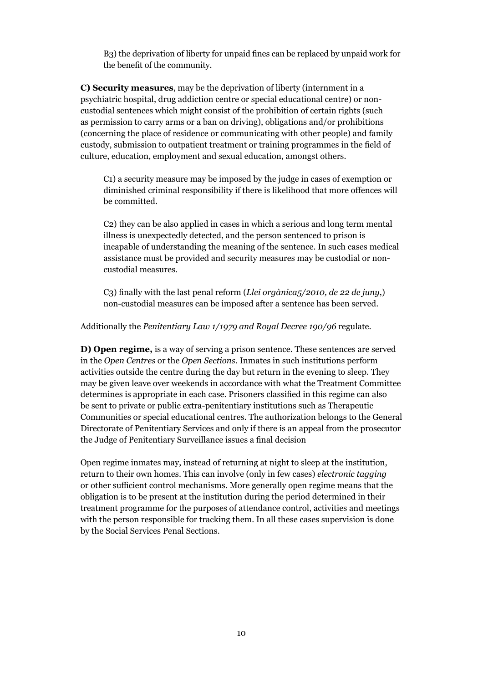B3) the deprivation of liberty for unpaid fines can be replaced by unpaid work for the benefit of the community.

**C) Security measures**, may be the deprivation of liberty (internment in a psychiatric hospital, drug addiction centre or special educational centre) or noncustodial sentences which might consist of the prohibition of certain rights (such as permission to carry arms or a ban on driving), obligations and/or prohibitions (concerning the place of residence or communicating with other people) and family custody, submission to outpatient treatment or training programmes in the field of culture, education, employment and sexual education, amongst others.

 C1) a security measure may be imposed by the judge in cases of exemption or diminished criminal responsibility if there is likelihood that more offences will be committed.

 C2) they can be also applied in cases in which a serious and long term mental illness is unexpectedly detected, and the person sentenced to prison is incapable of understanding the meaning of the sentence. In such cases medical assistance must be provided and security measures may be custodial or noncustodial measures.

C3) finally with the last penal reform (*Llei orgànica5/2010, de 22 de juny*,) non-custodial measures can be imposed after a sentence has been served.

Additionally the *Penitentiary Law 1/1979 and Royal Decree 190/96* regulate.

**D) Open regime,** is a way of serving a prison sentence. These sentences are served in the *Open Centres* or the *Open Sections*. Inmates in such institutions perform activities outside the centre during the day but return in the evening to sleep. They may be given leave over weekends in accordance with what the Treatment Committee determines is appropriate in each case. Prisoners classified in this regime can also be sent to private or public extra-penitentiary institutions such as Therapeutic Communities or special educational centres. The authorization belongs to the General Directorate of Penitentiary Services and only if there is an appeal from the prosecutor the Judge of Penitentiary Surveillance issues a final decision

Open regime inmates may, instead of returning at night to sleep at the institution, return to their own homes. This can involve (only in few cases) *electronic tagging* or other sufficient control mechanisms. More generally open regime means that the obligation is to be present at the institution during the period determined in their treatment programme for the purposes of attendance control, activities and meetings with the person responsible for tracking them. In all these cases supervision is done by the Social Services Penal Sections.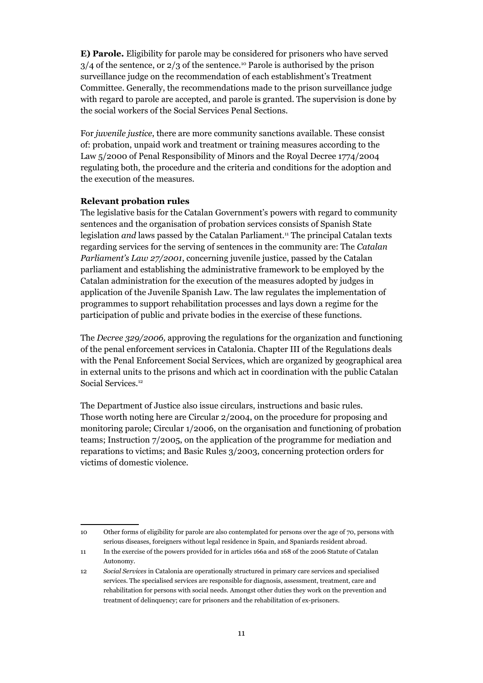**E) Parole.** Eligibility for parole may be considered for prisoners who have served  $3/4$  of the sentence, or  $2/3$  of the sentence.<sup>10</sup> Parole is authorised by the prison surveillance judge on the recommendation of each establishment's Treatment Committee. Generally, the recommendations made to the prison surveillance judge with regard to parole are accepted, and parole is granted. The supervision is done by the social workers of the Social Services Penal Sections.

For *juvenile justice*, there are more community sanctions available. These consist of: probation, unpaid work and treatment or training measures according to the Law 5/2000 of Penal Responsibility of Minors and the Royal Decree 1774/2004 regulating both, the procedure and the criteria and conditions for the adoption and the execution of the measures.

#### **Relevant probation rules**

The legislative basis for the Catalan Government's powers with regard to community sentences and the organisation of probation services consists of Spanish State legislation *and* laws passed by the Catalan Parliament.11 The principal Catalan texts regarding services for the serving of sentences in the community are: The *Catalan Parliament's Law 27/2001*, concerning juvenile justice, passed by the Catalan parliament and establishing the administrative framework to be employed by the Catalan administration for the execution of the measures adopted by judges in application of the Juvenile Spanish Law. The law regulates the implementation of programmes to support rehabilitation processes and lays down a regime for the participation of public and private bodies in the exercise of these functions.

The *Decree 329/2006,* approving the regulations for the organization and functioning of the penal enforcement services in Catalonia. Chapter III of the Regulations deals with the Penal Enforcement Social Services, which are organized by geographical area in external units to the prisons and which act in coordination with the public Catalan Social Services.12

The Department of Justice also issue circulars, instructions and basic rules. Those worth noting here are Circular 2/2004, on the procedure for proposing and monitoring parole; Circular 1/2006, on the organisation and functioning of probation teams; Instruction 7/2005, on the application of the programme for mediation and reparations to victims; and Basic Rules 3/2003, concerning protection orders for victims of domestic violence.

<sup>10</sup> Other forms of eligibility for parole are also contemplated for persons over the age of 70, persons with serious diseases, foreigners without legal residence in Spain, and Spaniards resident abroad.

<sup>11</sup> In the exercise of the powers provided for in articles 166a and 168 of the 2006 Statute of Catalan Autonomy.

<sup>12</sup> *Social Services* in Catalonia are operationally structured in primary care services and specialised services. The specialised services are responsible for diagnosis, assessment, treatment, care and rehabilitation for persons with social needs. Amongst other duties they work on the prevention and treatment of delinquency; care for prisoners and the rehabilitation of ex-prisoners.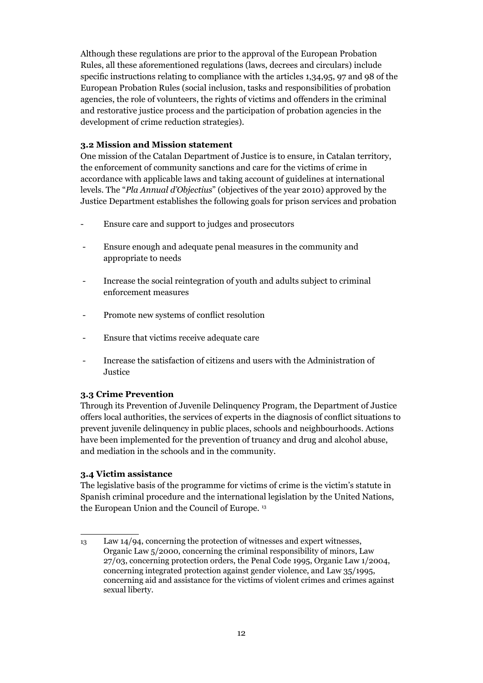Although these regulations are prior to the approval of the European Probation Rules, all these aforementioned regulations (laws, decrees and circulars) include specific instructions relating to compliance with the articles 1,34,95, 97 and 98 of the European Probation Rules (social inclusion, tasks and responsibilities of probation agencies, the role of volunteers, the rights of victims and offenders in the criminal and restorative justice process and the participation of probation agencies in the development of crime reduction strategies).

#### **3.2 Mission and Mission statement**

One mission of the Catalan Department of Justice is to ensure, in Catalan territory, the enforcement of community sanctions and care for the victims of crime in accordance with applicable laws and taking account of guidelines at international levels. The "*Pla Annual d'Objectius*" (objectives of the year 2010) approved by the Justice Department establishes the following goals for prison services and probation

- Ensure care and support to judges and prosecutors
- Ensure enough and adequate penal measures in the community and appropriate to needs
- Increase the social reintegration of youth and adults subject to criminal enforcement measures
- Promote new systems of conflict resolution
- Ensure that victims receive adequate care
- Increase the satisfaction of citizens and users with the Administration of Justice

#### **3.3 Crime Prevention**

Through its Prevention of Juvenile Delinquency Program, the Department of Justice offers local authorities, the services of experts in the diagnosis of conflict situations to prevent juvenile delinquency in public places, schools and neighbourhoods. Actions have been implemented for the prevention of truancy and drug and alcohol abuse, and mediation in the schools and in the community.

#### **3.4 Victim assistance**

The legislative basis of the programme for victims of crime is the victim's statute in Spanish criminal procedure and the international legislation by the United Nations, the European Union and the Council of Europe.<sup>13</sup>

<sup>13</sup> Law 14/94, concerning the protection of witnesses and expert witnesses, Organic Law 5/2000, concerning the criminal responsibility of minors, Law 27/03, concerning protection orders, the Penal Code 1995, Organic Law 1/2004, concerning integrated protection against gender violence, and Law 35/1995, concerning aid and assistance for the victims of violent crimes and crimes against sexual liberty.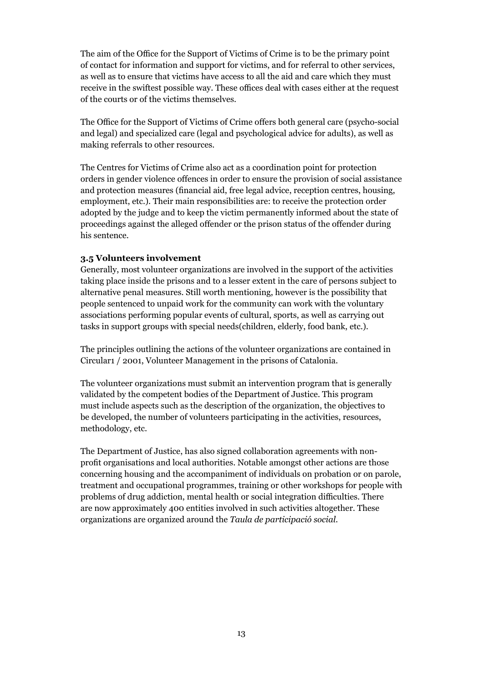The aim of the Office for the Support of Victims of Crime is to be the primary point of contact for information and support for victims, and for referral to other services, as well as to ensure that victims have access to all the aid and care which they must receive in the swiftest possible way. These offices deal with cases either at the request of the courts or of the victims themselves.

The Office for the Support of Victims of Crime offers both general care (psycho-social and legal) and specialized care (legal and psychological advice for adults), as well as making referrals to other resources.

The Centres for Victims of Crime also act as a coordination point for protection orders in gender violence offences in order to ensure the provision of social assistance and protection measures (financial aid, free legal advice, reception centres, housing, employment, etc.). Their main responsibilities are: to receive the protection order adopted by the judge and to keep the victim permanently informed about the state of proceedings against the alleged offender or the prison status of the offender during his sentence.

#### **3.5 Volunteers involvement**

Generally, most volunteer organizations are involved in the support of the activities taking place inside the prisons and to a lesser extent in the care of persons subject to alternative penal measures. Still worth mentioning, however is the possibility that people sentenced to unpaid work for the community can work with the voluntary associations performing popular events of cultural, sports, as well as carrying out tasks in support groups with special needs(children, elderly, food bank, etc.).

The principles outlining the actions of the volunteer organizations are contained in Circular1 / 2001, Volunteer Management in the prisons of Catalonia.

The volunteer organizations must submit an intervention program that is generally validated by the competent bodies of the Department of Justice. This program must include aspects such as the description of the organization, the objectives to be developed, the number of volunteers participating in the activities, resources, methodology, etc.

The Department of Justice, has also signed collaboration agreements with nonprofit organisations and local authorities. Notable amongst other actions are those concerning housing and the accompaniment of individuals on probation or on parole, treatment and occupational programmes, training or other workshops for people with problems of drug addiction, mental health or social integration difficulties. There are now approximately 400 entities involved in such activities altogether. These organizations are organized around the *Taula de participació social*.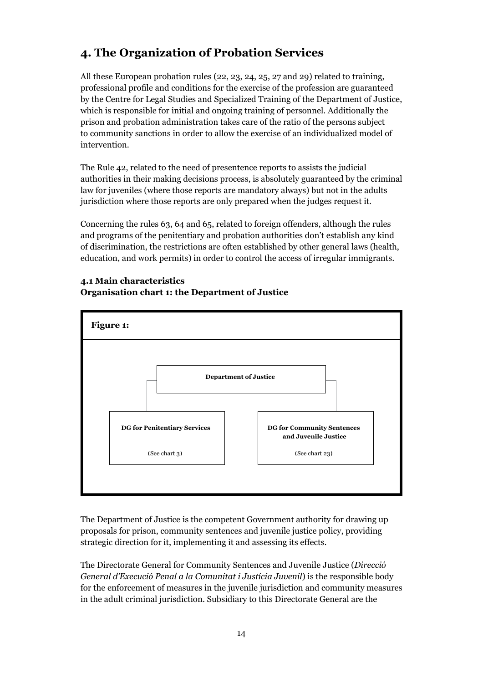## **4. The Organization of Probation Services**

All these European probation rules (22, 23, 24, 25, 27 and 29) related to training, professional profile and conditions for the exercise of the profession are guaranteed by the Centre for Legal Studies and Specialized Training of the Department of Justice, which is responsible for initial and ongoing training of personnel. Additionally the prison and probation administration takes care of the ratio of the persons subject to community sanctions in order to allow the exercise of an individualized model of intervention.

The Rule 42, related to the need of presentence reports to assists the judicial authorities in their making decisions process, is absolutely guaranteed by the criminal law for juveniles (where those reports are mandatory always) but not in the adults jurisdiction where those reports are only prepared when the judges request it.

Concerning the rules 63, 64 and 65, related to foreign offenders, although the rules and programs of the penitentiary and probation authorities don't establish any kind of discrimination, the restrictions are often established by other general laws (health, education, and work permits) in order to control the access of irregular immigrants.





The Department of Justice is the competent Government authority for drawing up proposals for prison, community sentences and juvenile justice policy, providing strategic direction for it, implementing it and assessing its effects.

The Directorate General for Community Sentences and Juvenile Justice (*Direcció General d'Execució Penal a la Comunitat i Justícia Juvenil*) is the responsible body for the enforcement of measures in the juvenile jurisdiction and community measures in the adult criminal jurisdiction. Subsidiary to this Directorate General are the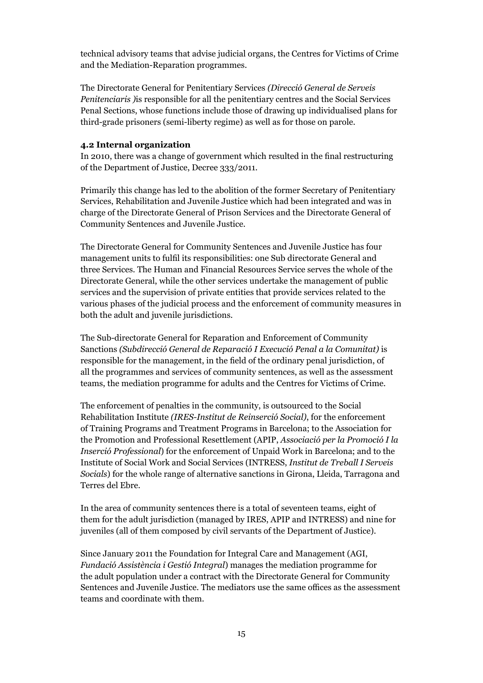technical advisory teams that advise judicial organs, the Centres for Victims of Crime and the Mediation-Reparation programmes.

The Directorate General for Penitentiary Services *(Direcció General de Serveis Penitenciaris )*is responsible for all the penitentiary centres and the Social Services Penal Sections, whose functions include those of drawing up individualised plans for third-grade prisoners (semi-liberty regime) as well as for those on parole.

#### **4.2 Internal organization**

In 2010, there was a change of government which resulted in the final restructuring of the Department of Justice, Decree 333/2011.

Primarily this change has led to the abolition of the former Secretary of Penitentiary Services, Rehabilitation and Juvenile Justice which had been integrated and was in charge of the Directorate General of Prison Services and the Directorate General of Community Sentences and Juvenile Justice.

The Directorate General for Community Sentences and Juvenile Justice has four management units to fulfil its responsibilities: one Sub directorate General and three Services. The Human and Financial Resources Service serves the whole of the Directorate General, while the other services undertake the management of public services and the supervision of private entities that provide services related to the various phases of the judicial process and the enforcement of community measures in both the adult and juvenile jurisdictions.

The Sub-directorate General for Reparation and Enforcement of Community Sanctions *(Subdirecció General de Reparació I Execució Penal a la Comunitat)* is responsible for the management, in the field of the ordinary penal jurisdiction, of all the programmes and services of community sentences, as well as the assessment teams, the mediation programme for adults and the Centres for Victims of Crime.

The enforcement of penalties in the community, is outsourced to the Social Rehabilitation Institute *(IRES-Institut de Reinserció Social)*, for the enforcement of Training Programs and Treatment Programs in Barcelona; to the Association for the Promotion and Professional Resettlement (APIP, *Associació per la Promoció I la Inserció Professional*) for the enforcement of Unpaid Work in Barcelona; and to the Institute of Social Work and Social Services (INTRESS, *Institut de Treball I Serveis Socials*) for the whole range of alternative sanctions in Girona, Lleida, Tarragona and Terres del Ebre.

In the area of community sentences there is a total of seventeen teams, eight of them for the adult jurisdiction (managed by IRES, APIP and INTRESS) and nine for juveniles (all of them composed by civil servants of the Department of Justice).

Since January 2011 the Foundation for Integral Care and Management (AGI, *Fundació Assistència i Gestió Integral*) manages the mediation programme for the adult population under a contract with the Directorate General for Community Sentences and Juvenile Justice. The mediators use the same offices as the assessment teams and coordinate with them.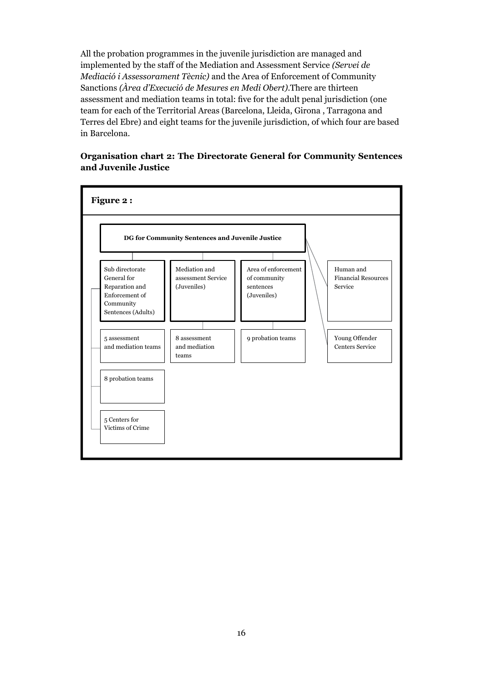All the probation programmes in the juvenile jurisdiction are managed and implemented by the staff of the Mediation and Assessment Service *(Servei de Mediació i Assessorament Tècnic)* and the Area of Enforcement of Community Sanctions *(Àrea d'Execució de Mesures en Medi Obert)*.There are thirteen assessment and mediation teams in total: five for the adult penal jurisdiction (one team for each of the Territorial Areas (Barcelona, Lleida, Girona , Tarragona and Terres del Ebre) and eight teams for the juvenile jurisdiction, of which four are based in Barcelona.

#### **Organisation chart 2: The Directorate General for Community Sentences and Juvenile Justice**

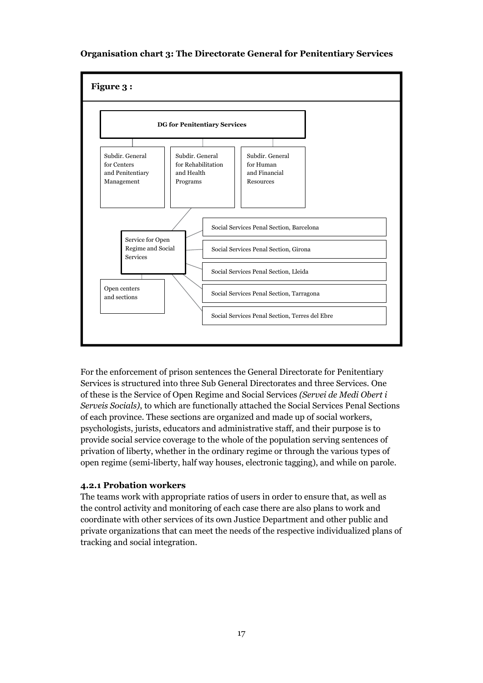#### **Organisation chart 3: The Directorate General for Penitentiary Services**



For the enforcement of prison sentences the General Directorate for Penitentiary Services is structured into three Sub General Directorates and three Services. One of these is the Service of Open Regime and Social Services *(Servei de Medi Obert i Serveis Socials)*, to which are functionally attached the Social Services Penal Sections of each province. These sections are organized and made up of social workers, psychologists, jurists, educators and administrative staff, and their purpose is to provide social service coverage to the whole of the population serving sentences of privation of liberty, whether in the ordinary regime or through the various types of open regime (semi-liberty, half way houses, electronic tagging), and while on parole.

#### **4.2.1 Probation workers**

The teams work with appropriate ratios of users in order to ensure that, as well as the control activity and monitoring of each case there are also plans to work and coordinate with other services of its own Justice Department and other public and private organizations that can meet the needs of the respective individualized plans of tracking and social integration.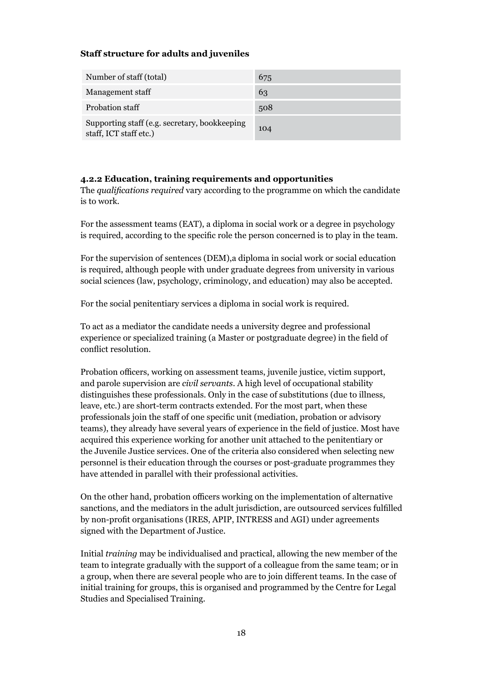#### **Staff structure for adults and juveniles**

| Number of staff (total)                                                 | 675 |
|-------------------------------------------------------------------------|-----|
| Management staff                                                        | 63  |
| Probation staff                                                         | 508 |
| Supporting staff (e.g. secretary, bookkeeping<br>staff, ICT staff etc.) | 104 |

#### **4.2.2 Education, training requirements and opportunities**

The *qualifications required* vary according to the programme on which the candidate is to work.

For the assessment teams (EAT), a diploma in social work or a degree in psychology is required, according to the specific role the person concerned is to play in the team.

For the supervision of sentences (DEM),a diploma in social work or social education is required, although people with under graduate degrees from university in various social sciences (law, psychology, criminology, and education) may also be accepted.

For the social penitentiary services a diploma in social work is required.

To act as a mediator the candidate needs a university degree and professional experience or specialized training (a Master or postgraduate degree) in the field of conflict resolution.

Probation officers, working on assessment teams, juvenile justice, victim support, and parole supervision are *civil servants*. A high level of occupational stability distinguishes these professionals. Only in the case of substitutions (due to illness, leave, etc.) are short-term contracts extended. For the most part, when these professionals join the staff of one specific unit (mediation, probation or advisory teams), they already have several years of experience in the field of justice. Most have acquired this experience working for another unit attached to the penitentiary or the Juvenile Justice services. One of the criteria also considered when selecting new personnel is their education through the courses or post-graduate programmes they have attended in parallel with their professional activities.

On the other hand, probation officers working on the implementation of alternative sanctions, and the mediators in the adult jurisdiction, are outsourced services fulfilled by non-profit organisations (IRES, APIP, INTRESS and AGI) under agreements signed with the Department of Justice.

Initial *training* may be individualised and practical, allowing the new member of the team to integrate gradually with the support of a colleague from the same team; or in a group, when there are several people who are to join different teams. In the case of initial training for groups, this is organised and programmed by the Centre for Legal Studies and Specialised Training.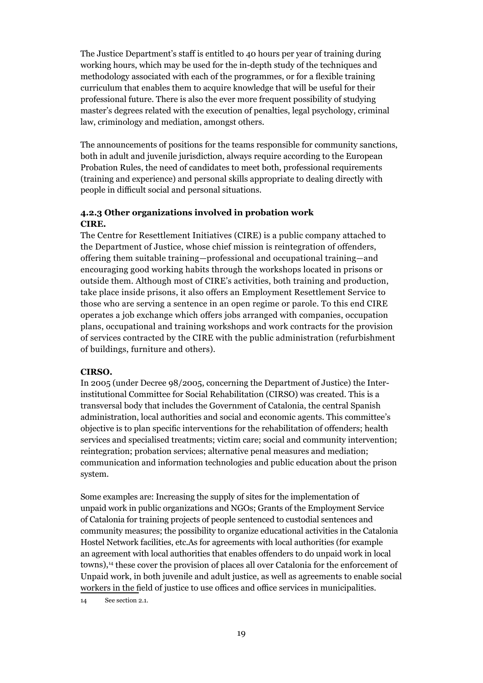The Justice Department's staff is entitled to 40 hours per year of training during working hours, which may be used for the in-depth study of the techniques and methodology associated with each of the programmes, or for a flexible training curriculum that enables them to acquire knowledge that will be useful for their professional future. There is also the ever more frequent possibility of studying master's degrees related with the execution of penalties, legal psychology, criminal law, criminology and mediation, amongst others.

The announcements of positions for the teams responsible for community sanctions, both in adult and juvenile jurisdiction, always require according to the European Probation Rules, the need of candidates to meet both, professional requirements (training and experience) and personal skills appropriate to dealing directly with people in difficult social and personal situations.

#### **4.2.3 Other organizations involved in probation work CIRE.**

The Centre for Resettlement Initiatives (CIRE) is a public company attached to the Department of Justice, whose chief mission is reintegration of offenders, offering them suitable training—professional and occupational training—and encouraging good working habits through the workshops located in prisons or outside them. Although most of CIRE's activities, both training and production, take place inside prisons, it also offers an Employment Resettlement Service to those who are serving a sentence in an open regime or parole. To this end CIRE operates a job exchange which offers jobs arranged with companies, occupation plans, occupational and training workshops and work contracts for the provision of services contracted by the CIRE with the public administration (refurbishment of buildings, furniture and others).

#### **CIRSO.**

In 2005 (under Decree 98/2005, concerning the Department of Justice) the Interinstitutional Committee for Social Rehabilitation (CIRSO) was created. This is a transversal body that includes the Government of Catalonia, the central Spanish administration, local authorities and social and economic agents. This committee's objective is to plan specific interventions for the rehabilitation of offenders; health services and specialised treatments; victim care; social and community intervention; reintegration; probation services; alternative penal measures and mediation; communication and information technologies and public education about the prison system.

Some examples are: Increasing the supply of sites for the implementation of unpaid work in public organizations and NGOs; Grants of the Employment Service of Catalonia for training projects of people sentenced to custodial sentences and community measures; the possibility to organize educational activities in the Catalonia Hostel Network facilities, etc.As for agreements with local authorities (for example an agreement with local authorities that enables offenders to do unpaid work in local towns),14 these cover the provision of places all over Catalonia for the enforcement of Unpaid work, in both juvenile and adult justice, as well as agreements to enable social workers in the field of justice to use offices and office services in municipalities.

14 See section 2.1.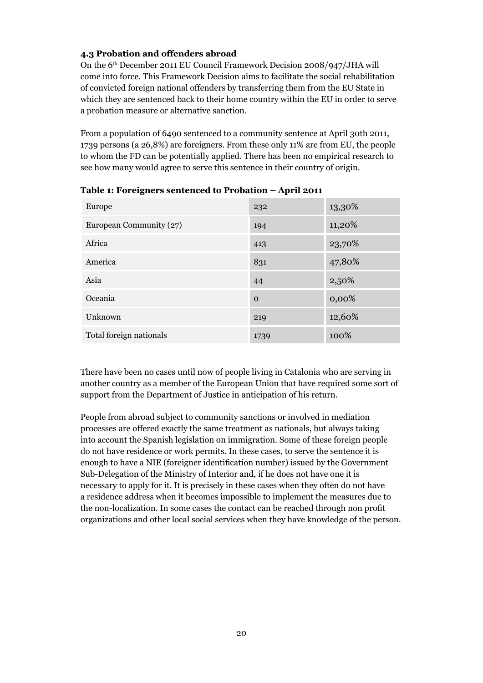#### **4.3 Probation and offenders abroad**

On the 6th December 2011 EU Council Framework Decision 2008/947/JHA will come into force. This Framework Decision aims to facilitate the social rehabilitation of convicted foreign national offenders by transferring them from the EU State in which they are sentenced back to their home country within the EU in order to serve a probation measure or alternative sanction.

From a population of 6490 sentenced to a community sentence at April 30th 2011, 1739 persons (a 26,8%) are foreigners. From these only 11% are from EU, the people to whom the FD can be potentially applied. There has been no empirical research to see how many would agree to serve this sentence in their country of origin.

| Europe                  | 232      | 13,30% |
|-------------------------|----------|--------|
| European Community (27) | 194      | 11,20% |
| Africa                  | 413      | 23,70% |
| America                 | 831      | 47,80% |
| Asia                    | 44       | 2,50%  |
| Oceania                 | $\Omega$ | 0,00%  |
| Unknown                 | 219      | 12,60% |
| Total foreign nationals | 1739     | 100%   |

**Table 1: Foreigners sentenced to Probation – April 2011**

There have been no cases until now of people living in Catalonia who are serving in another country as a member of the European Union that have required some sort of support from the Department of Justice in anticipation of his return.

People from abroad subject to community sanctions or involved in mediation processes are offered exactly the same treatment as nationals, but always taking into account the Spanish legislation on immigration. Some of these foreign people do not have residence or work permits. In these cases, to serve the sentence it is enough to have a NIE (foreigner identification number) issued by the Government Sub-Delegation of the Ministry of Interior and, if he does not have one it is necessary to apply for it. It is precisely in these cases when they often do not have a residence address when it becomes impossible to implement the measures due to the non-localization. In some cases the contact can be reached through non profit organizations and other local social services when they have knowledge of the person.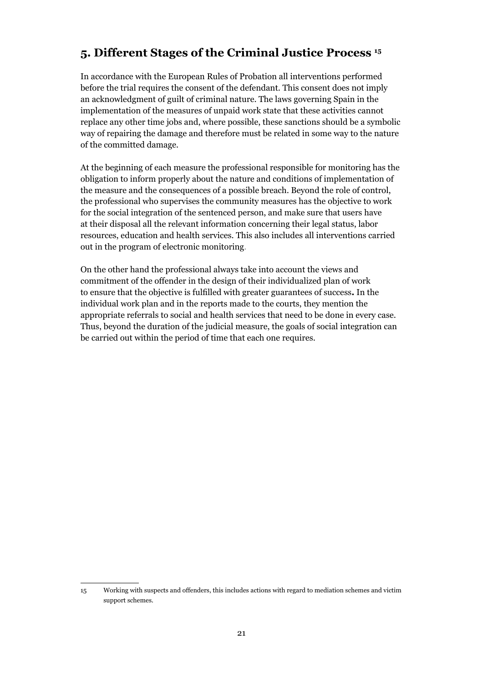## **5. Different Stages of the Criminal Justice Process <sup>15</sup>**

In accordance with the European Rules of Probation all interventions performed before the trial requires the consent of the defendant. This consent does not imply an acknowledgment of guilt of criminal nature. The laws governing Spain in the implementation of the measures of unpaid work state that these activities cannot replace any other time jobs and, where possible, these sanctions should be a symbolic way of repairing the damage and therefore must be related in some way to the nature of the committed damage.

At the beginning of each measure the professional responsible for monitoring has the obligation to inform properly about the nature and conditions of implementation of the measure and the consequences of a possible breach. Beyond the role of control, the professional who supervises the community measures has the objective to work for the social integration of the sentenced person, and make sure that users have at their disposal all the relevant information concerning their legal status, labor resources, education and health services. This also includes all interventions carried out in the program of electronic monitoring.

On the other hand the professional always take into account the views and commitment of the offender in the design of their individualized plan of work to ensure that the objective is fulfilled with greater guarantees of success**.** In the individual work plan and in the reports made to the courts, they mention the appropriate referrals to social and health services that need to be done in every case. Thus, beyond the duration of the judicial measure, the goals of social integration can be carried out within the period of time that each one requires.

<sup>15</sup> Working with suspects and offenders, this includes actions with regard to mediation schemes and victim support schemes.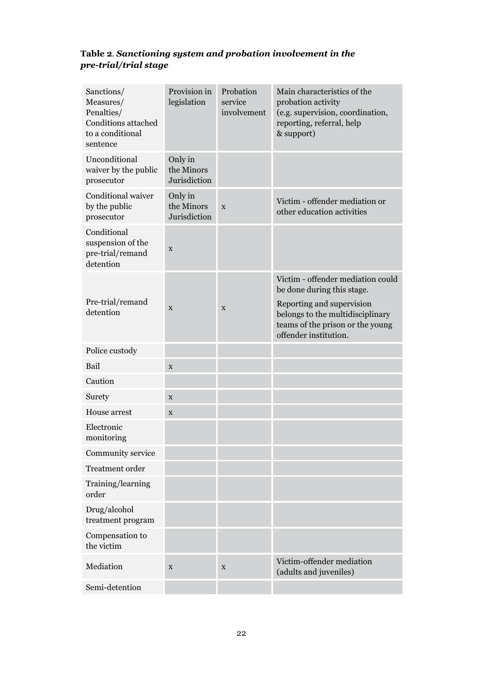#### **Table 2***. Sanctioning system and probation involvement in the pre-trial/trial stage*

| Sanctions/<br>Measures/<br>Penalties/<br>Conditions attached<br>to a conditional<br>sentence | Provision in<br>legislation           | Probation<br>service<br>involvement | Main characteristics of the<br>probation activity<br>(e.g. supervision, coordination,<br>reporting, referral, help<br>& support)                                                              |
|----------------------------------------------------------------------------------------------|---------------------------------------|-------------------------------------|-----------------------------------------------------------------------------------------------------------------------------------------------------------------------------------------------|
| Unconditional<br>waiver by the public<br>prosecutor                                          | Only in<br>the Minors<br>Jurisdiction |                                     |                                                                                                                                                                                               |
| Conditional waiver<br>by the public<br>prosecutor                                            | Only in<br>the Minors<br>Jurisdiction | X                                   | Victim - offender mediation or<br>other education activities                                                                                                                                  |
| Conditional<br>suspension of the<br>pre-trial/remand<br>detention                            | $\mathbf X$                           |                                     |                                                                                                                                                                                               |
| Pre-trial/remand<br>detention                                                                | X                                     | X                                   | Victim - offender mediation could<br>be done during this stage.<br>Reporting and supervision<br>belongs to the multidisciplinary<br>teams of the prison or the young<br>offender institution. |
| Police custody                                                                               |                                       |                                     |                                                                                                                                                                                               |
| Bail                                                                                         | $\mathbf X$                           |                                     |                                                                                                                                                                                               |
| Caution                                                                                      |                                       |                                     |                                                                                                                                                                                               |
| Surety                                                                                       | X                                     |                                     |                                                                                                                                                                                               |
| House arrest                                                                                 | X                                     |                                     |                                                                                                                                                                                               |
| Electronic<br>monitoring                                                                     |                                       |                                     |                                                                                                                                                                                               |
| Community service                                                                            |                                       |                                     |                                                                                                                                                                                               |
| Treatment order                                                                              |                                       |                                     |                                                                                                                                                                                               |
| Training/learning<br>order                                                                   |                                       |                                     |                                                                                                                                                                                               |
| Drug/alcohol<br>treatment program                                                            |                                       |                                     |                                                                                                                                                                                               |
| Compensation to<br>the victim                                                                |                                       |                                     |                                                                                                                                                                                               |
| Mediation                                                                                    | $\mathbf X$                           | X                                   | Victim-offender mediation<br>(adults and juveniles)                                                                                                                                           |
| Semi-detention                                                                               |                                       |                                     |                                                                                                                                                                                               |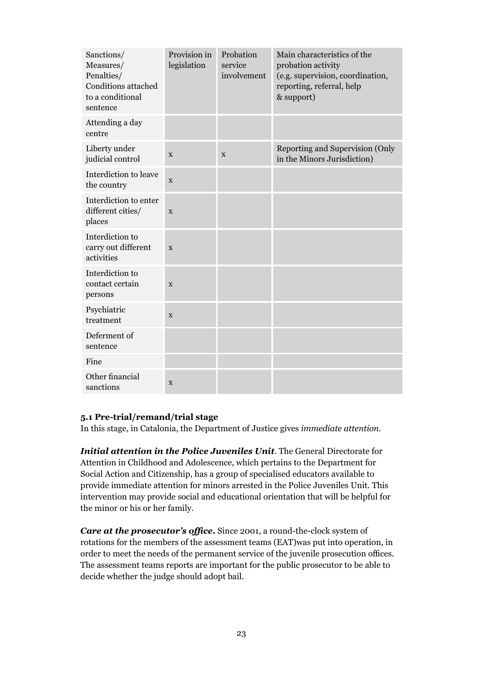| Sanctions/<br>Measures/<br>Penalties/<br>Conditions attached<br>to a conditional<br>sentence | Provision in<br>legislation | Probation<br>service<br>involvement | Main characteristics of the<br>probation activity<br>(e.g. supervision, coordination,<br>reporting, referral, help<br>& support) |
|----------------------------------------------------------------------------------------------|-----------------------------|-------------------------------------|----------------------------------------------------------------------------------------------------------------------------------|
| Attending a day<br>centre                                                                    |                             |                                     |                                                                                                                                  |
| Liberty under<br>judicial control                                                            | X                           | X                                   | Reporting and Supervision (Only<br>in the Minors Jurisdiction)                                                                   |
| Interdiction to leave<br>the country                                                         | X                           |                                     |                                                                                                                                  |
| Interdiction to enter<br>different cities/<br>places                                         | X                           |                                     |                                                                                                                                  |
| Interdiction to<br>carry out different<br>activities                                         | X                           |                                     |                                                                                                                                  |
| Interdiction to<br>contact certain<br>persons                                                | X                           |                                     |                                                                                                                                  |
| Psychiatric<br>treatment                                                                     | X                           |                                     |                                                                                                                                  |
| Deferment of<br>sentence                                                                     |                             |                                     |                                                                                                                                  |
| Fine                                                                                         |                             |                                     |                                                                                                                                  |
| Other financial<br>sanctions                                                                 | X                           |                                     |                                                                                                                                  |

#### **5.1 Pre-trial/remand/trial stage**

In this stage, in Catalonia, the Department of Justice gives *immediate attention*.

*Initial attention in the Police Juveniles Unit*. The General Directorate for Attention in Childhood and Adolescence, which pertains to the Department for Social Action and Citizenship, has a group of specialised educators available to provide immediate attention for minors arrested in the Police Juveniles Unit. This intervention may provide social and educational orientation that will be helpful for the minor or his or her family.

*Care at the prosecutor's office***.** Since 2001, a round-the-clock system of rotations for the members of the assessment teams (EAT)was put into operation, in order to meet the needs of the permanent service of the juvenile prosecution offices. The assessment teams reports are important for the public prosecutor to be able to decide whether the judge should adopt bail.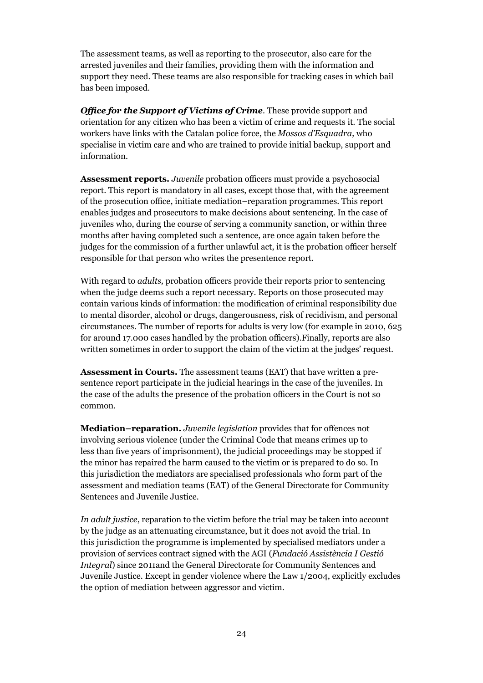The assessment teams, as well as reporting to the prosecutor, also care for the arrested juveniles and their families, providing them with the information and support they need. These teams are also responsible for tracking cases in which bail has been imposed.

*Office for the Support of Victims of Crime*. These provide support and orientation for any citizen who has been a victim of crime and requests it. The social workers have links with the Catalan police force, the *Mossos d'Esquadra,* who specialise in victim care and who are trained to provide initial backup, support and information.

**Assessment reports.** *Juvenile* probation officers must provide a psychosocial report. This report is mandatory in all cases, except those that, with the agreement of the prosecution office, initiate mediation–reparation programmes. This report enables judges and prosecutors to make decisions about sentencing. In the case of juveniles who, during the course of serving a community sanction, or within three months after having completed such a sentence, are once again taken before the judges for the commission of a further unlawful act, it is the probation officer herself responsible for that person who writes the presentence report.

With regard to *adults,* probation officers provide their reports prior to sentencing when the judge deems such a report necessary. Reports on those prosecuted may contain various kinds of information: the modification of criminal responsibility due to mental disorder, alcohol or drugs, dangerousness, risk of recidivism, and personal circumstances. The number of reports for adults is very low (for example in 2010, 625 for around 17.000 cases handled by the probation officers).Finally, reports are also written sometimes in order to support the claim of the victim at the judges' request.

**Assessment in Courts.** The assessment teams (EAT) that have written a presentence report participate in the judicial hearings in the case of the juveniles. In the case of the adults the presence of the probation officers in the Court is not so common.

**Mediation–reparation.** *Juvenile legislation* provides that for offences not involving serious violence (under the Criminal Code that means crimes up to less than five years of imprisonment), the judicial proceedings may be stopped if the minor has repaired the harm caused to the victim or is prepared to do so. In this jurisdiction the mediators are specialised professionals who form part of the assessment and mediation teams (EAT) of the General Directorate for Community Sentences and Juvenile Justice.

*In adult justice*, reparation to the victim before the trial may be taken into account by the judge as an attenuating circumstance, but it does not avoid the trial. In this jurisdiction the programme is implemented by specialised mediators under a provision of services contract signed with the AGI (*Fundació Assistència I Gestió Integral*) since 2011and the General Directorate for Community Sentences and Juvenile Justice. Except in gender violence where the Law 1/2004, explicitly excludes the option of mediation between aggressor and victim.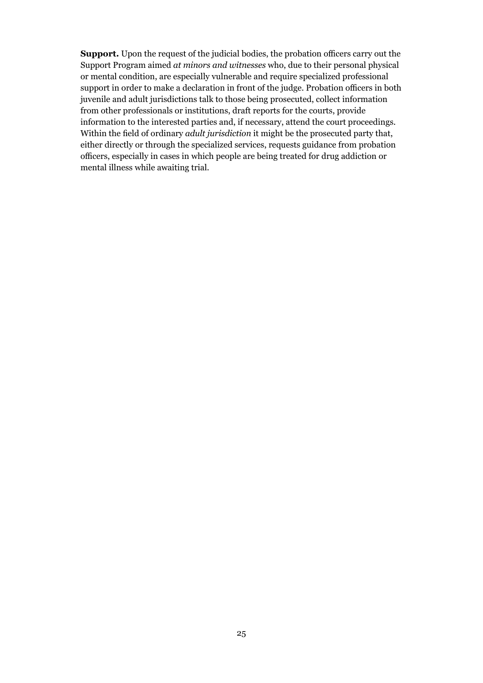**Support.** Upon the request of the judicial bodies, the probation officers carry out the Support Program aimed *at minors and witnesses* who, due to their personal physical or mental condition, are especially vulnerable and require specialized professional support in order to make a declaration in front of the judge. Probation officers in both juvenile and adult jurisdictions talk to those being prosecuted, collect information from other professionals or institutions, draft reports for the courts, provide information to the interested parties and, if necessary, attend the court proceedings. Within the field of ordinary *adult jurisdiction* it might be the prosecuted party that, either directly or through the specialized services, requests guidance from probation officers, especially in cases in which people are being treated for drug addiction or mental illness while awaiting trial.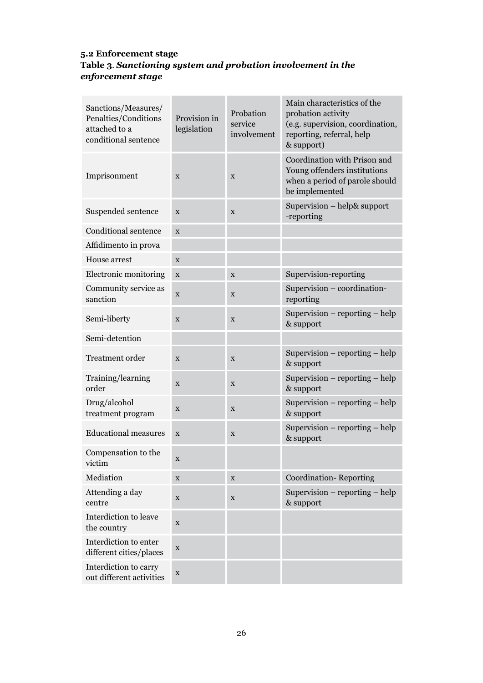#### **5.2 Enforcement stage Table 3***. Sanctioning system and probation involvement in the enforcement stage*

| Sanctions/Measures/<br>Penalties/Conditions<br>attached to a<br>conditional sentence | Provision in<br>legislation | Probation<br>service<br>involvement | Main characteristics of the<br>probation activity<br>(e.g. supervision, coordination,<br>reporting, referral, help<br>& support) |
|--------------------------------------------------------------------------------------|-----------------------------|-------------------------------------|----------------------------------------------------------------------------------------------------------------------------------|
| Imprisonment                                                                         | $\mathbf X$                 | $\mathbf X$                         | Coordination with Prison and<br>Young offenders institutions<br>when a period of parole should<br>be implemented                 |
| Suspended sentence                                                                   | X                           | X                                   | Supervision – help& support<br>-reporting                                                                                        |
| <b>Conditional sentence</b>                                                          | X                           |                                     |                                                                                                                                  |
| Affidimento in prova                                                                 |                             |                                     |                                                                                                                                  |
| House arrest                                                                         | X                           |                                     |                                                                                                                                  |
| Electronic monitoring                                                                | $\mathbf X$                 | X                                   | Supervision-reporting                                                                                                            |
| Community service as<br>sanction                                                     | X                           | $\mathbf X$                         | Supervision - coordination-<br>reporting                                                                                         |
| Semi-liberty                                                                         | X                           | $\mathbf X$                         | Supervision $-$ reporting $-$ help<br>& support                                                                                  |
| Semi-detention                                                                       |                             |                                     |                                                                                                                                  |
| Treatment order                                                                      | X                           | X                                   | Supervision $-$ reporting $-$ help<br>& support                                                                                  |
| Training/learning<br>order                                                           | X                           | $\mathbf X$                         | Supervision $-$ reporting $-$ help<br>& support                                                                                  |
| Drug/alcohol<br>treatment program                                                    | X                           | $\mathbf X$                         | Supervision – reporting – help<br>& support                                                                                      |
| <b>Educational measures</b>                                                          | $\mathbf X$                 | X                                   | Supervision – reporting – help<br>& support                                                                                      |
| Compensation to the<br>victim                                                        | x                           |                                     |                                                                                                                                  |
| Mediation                                                                            | $\mathbf X$                 | $\mathbf X$                         | <b>Coordination-Reporting</b>                                                                                                    |
| Attending a day<br>centre                                                            | $\mathbf X$                 | $\mathbf X$                         | Supervision $-$ reporting $-$ help<br>& support                                                                                  |
| Interdiction to leave<br>the country                                                 | $\mathbf X$                 |                                     |                                                                                                                                  |
| Interdiction to enter<br>different cities/places                                     | $\mathbf X$                 |                                     |                                                                                                                                  |
| Interdiction to carry<br>out different activities                                    | $\mathbf X$                 |                                     |                                                                                                                                  |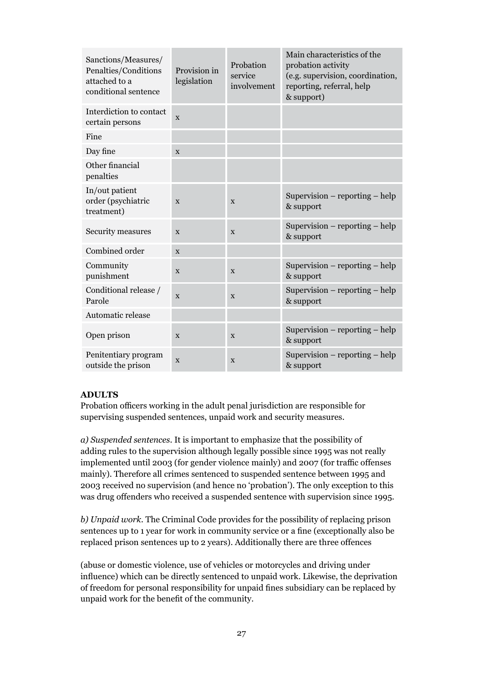| Sanctions/Measures/<br>Penalties/Conditions<br>attached to a<br>conditional sentence | Provision in<br>legislation | Probation<br>service<br>involvement | Main characteristics of the<br>probation activity<br>(e.g. supervision, coordination,<br>reporting, referral, help<br>& support) |
|--------------------------------------------------------------------------------------|-----------------------------|-------------------------------------|----------------------------------------------------------------------------------------------------------------------------------|
| Interdiction to contact<br>certain persons                                           | X                           |                                     |                                                                                                                                  |
| Fine                                                                                 |                             |                                     |                                                                                                                                  |
| Day fine                                                                             | X                           |                                     |                                                                                                                                  |
| Other financial<br>penalties                                                         |                             |                                     |                                                                                                                                  |
| In/out patient<br>order (psychiatric<br>treatment)                                   | X                           | X                                   | Supervision $-$ reporting $-$ help<br>& support                                                                                  |
| Security measures                                                                    | X                           | X                                   | Supervision $-$ reporting $-$ help<br>& support                                                                                  |
| Combined order                                                                       | X                           |                                     |                                                                                                                                  |
| Community<br>punishment                                                              | X                           | X                                   | Supervision $-$ reporting $-$ help<br>& support                                                                                  |
| Conditional release /<br>Parole                                                      | $\mathbf{x}$                | X                                   | Supervision $-$ reporting $-$ help<br>& support                                                                                  |
| Automatic release                                                                    |                             |                                     |                                                                                                                                  |
| Open prison                                                                          | $\mathbf X$                 | $\mathbf X$                         | Supervision $-$ reporting $-$ help<br>& support                                                                                  |
| Penitentiary program<br>outside the prison                                           | X                           | $\mathbf X$                         | Supervision $-$ reporting $-$ help<br>& support                                                                                  |

#### **ADULTS**

Probation officers working in the adult penal jurisdiction are responsible for supervising suspended sentences, unpaid work and security measures.

*a) Suspended sentences.* It is important to emphasize that the possibility of adding rules to the supervision although legally possible since 1995 was not really implemented until 2003 (for gender violence mainly) and 2007 (for traffic offenses mainly). Therefore all crimes sentenced to suspended sentence between 1995 and 2003 received no supervision (and hence no 'probation'). The only exception to this was drug offenders who received a suspended sentence with supervision since 1995.

*b) Unpaid work.* The Criminal Code provides for the possibility of replacing prison sentences up to 1 year for work in community service or a fine (exceptionally also be replaced prison sentences up to 2 years). Additionally there are three offences

(abuse or domestic violence, use of vehicles or motorcycles and driving under influence) which can be directly sentenced to unpaid work. Likewise, the deprivation of freedom for personal responsibility for unpaid fines subsidiary can be replaced by unpaid work for the benefit of the community.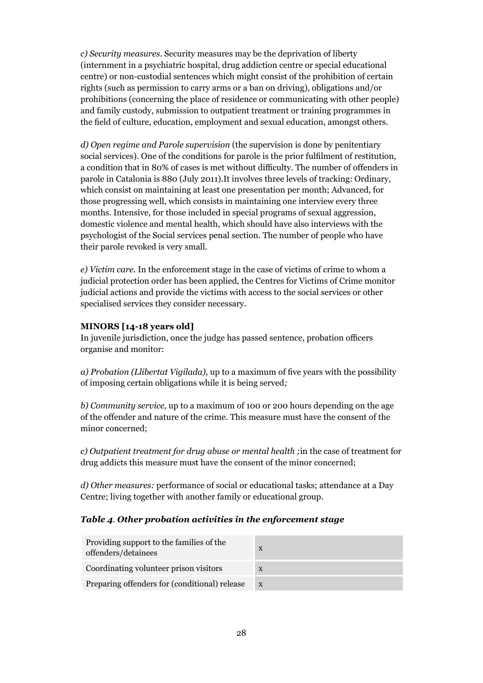*c) Security measures*. Security measures may be the deprivation of liberty (internment in a psychiatric hospital, drug addiction centre or special educational centre) or non-custodial sentences which might consist of the prohibition of certain rights (such as permission to carry arms or a ban on driving), obligations and/or prohibitions (concerning the place of residence or communicating with other people) and family custody, submission to outpatient treatment or training programmes in the field of culture, education, employment and sexual education, amongst others.

*d) Open regime and Parole supervision* (the supervision is done by penitentiary social services). One of the conditions for parole is the prior fulfilment of restitution, a condition that in 80% of cases is met without difficulty. The number of offenders in parole in Catalonia is 880 (July 2011).It involves three levels of tracking: Ordinary, which consist on maintaining at least one presentation per month; Advanced, for those progressing well, which consists in maintaining one interview every three months. Intensive, for those included in special programs of sexual aggression, domestic violence and mental health, which should have also interviews with the psychologist of the Social services penal section. The number of people who have their parole revoked is very small.

*e) Victim care.* In the enforcement stage in the case of victims of crime to whom a judicial protection order has been applied, the Centres for Victims of Crime monitor judicial actions and provide the victims with access to the social services or other specialised services they consider necessary.

#### **MINORS [14-18 years old]**

In juvenile jurisdiction, once the judge has passed sentence, probation officers organise and monitor:

*a) Probation (Llibertat Vigilada),* up to a maximum of five years with the possibility of imposing certain obligations while it is being served*;*

*b) Community service,* up to a maximum of 100 or 200 hours depending on the age of the offender and nature of the crime. This measure must have the consent of the minor concerned;

*c) Outpatient treatment for drug abuse or mental health ;*in the case of treatment for drug addicts this measure must have the consent of the minor concerned;

*d) Other measures:* performance of social or educational tasks; attendance at a Day Centre; living together with another family or educational group.

#### *Table 4. Other probation activities in the enforcement stage*

| Providing support to the families of the<br>offenders/detainees | X            |
|-----------------------------------------------------------------|--------------|
| Coordinating volunteer prison visitors                          | X            |
| Preparing offenders for (conditional) release                   | $\mathbf{x}$ |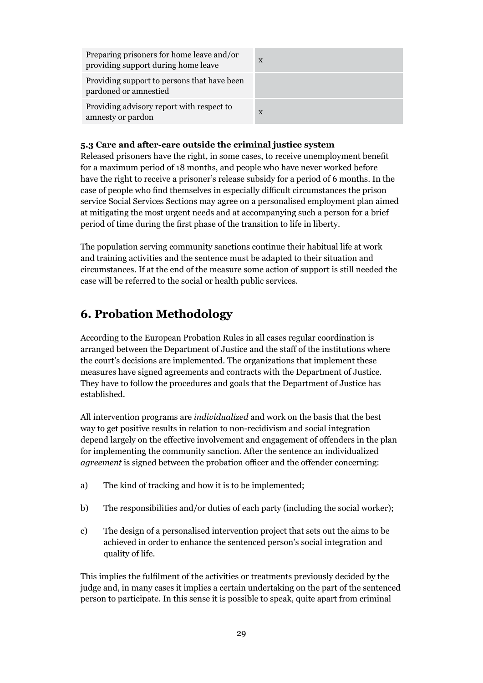Preparing prisoners for home leave and/or providing support during home leave <sup>x</sup>

Providing support to persons that have been pardoned or amnestied

Providing advisory report with respect to amnesty or pardon

| $\mathbf{X}$ |  |  |  |
|--------------|--|--|--|
|              |  |  |  |
| X            |  |  |  |

#### **5.3 Care and after-care outside the criminal justice system**

Released prisoners have the right, in some cases, to receive unemployment benefit for a maximum period of 18 months, and people who have never worked before have the right to receive a prisoner's release subsidy for a period of 6 months. In the case of people who find themselves in especially difficult circumstances the prison service Social Services Sections may agree on a personalised employment plan aimed at mitigating the most urgent needs and at accompanying such a person for a brief period of time during the first phase of the transition to life in liberty.

The population serving community sanctions continue their habitual life at work and training activities and the sentence must be adapted to their situation and circumstances. If at the end of the measure some action of support is still needed the case will be referred to the social or health public services.

## **6. Probation Methodology**

According to the European Probation Rules in all cases regular coordination is arranged between the Department of Justice and the staff of the institutions where the court's decisions are implemented. The organizations that implement these measures have signed agreements and contracts with the Department of Justice. They have to follow the procedures and goals that the Department of Justice has established.

All intervention programs are *individualized* and work on the basis that the best way to get positive results in relation to non-recidivism and social integration depend largely on the effective involvement and engagement of offenders in the plan for implementing the community sanction. After the sentence an individualized *agreement* is signed between the probation officer and the offender concerning:

- a) The kind of tracking and how it is to be implemented;
- b) The responsibilities and/or duties of each party (including the social worker);
- c) The design of a personalised intervention project that sets out the aims to be achieved in order to enhance the sentenced person's social integration and quality of life.

This implies the fulfilment of the activities or treatments previously decided by the judge and, in many cases it implies a certain undertaking on the part of the sentenced person to participate. In this sense it is possible to speak, quite apart from criminal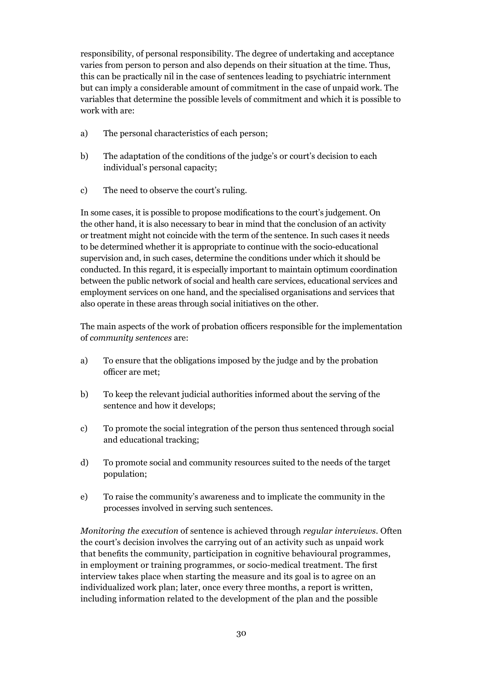responsibility, of personal responsibility. The degree of undertaking and acceptance varies from person to person and also depends on their situation at the time. Thus, this can be practically nil in the case of sentences leading to psychiatric internment but can imply a considerable amount of commitment in the case of unpaid work. The variables that determine the possible levels of commitment and which it is possible to work with are:

- a) The personal characteristics of each person;
- b) The adaptation of the conditions of the judge's or court's decision to each individual's personal capacity;
- c) The need to observe the court's ruling.

In some cases, it is possible to propose modifications to the court's judgement. On the other hand, it is also necessary to bear in mind that the conclusion of an activity or treatment might not coincide with the term of the sentence. In such cases it needs to be determined whether it is appropriate to continue with the socio-educational supervision and, in such cases, determine the conditions under which it should be conducted. In this regard, it is especially important to maintain optimum coordination between the public network of social and health care services, educational services and employment services on one hand, and the specialised organisations and services that also operate in these areas through social initiatives on the other.

The main aspects of the work of probation officers responsible for the implementation of *community sentences* are:

- a) To ensure that the obligations imposed by the judge and by the probation officer are met;
- b) To keep the relevant judicial authorities informed about the serving of the sentence and how it develops;
- c) To promote the social integration of the person thus sentenced through social and educational tracking;
- d) To promote social and community resources suited to the needs of the target population;
- e) To raise the community's awareness and to implicate the community in the processes involved in serving such sentences.

*Monitoring the execution* of sentence is achieved through *regular interviews*. Often the court's decision involves the carrying out of an activity such as unpaid work that benefits the community, participation in cognitive behavioural programmes, in employment or training programmes, or socio-medical treatment. The first interview takes place when starting the measure and its goal is to agree on an individualized work plan; later, once every three months, a report is written, including information related to the development of the plan and the possible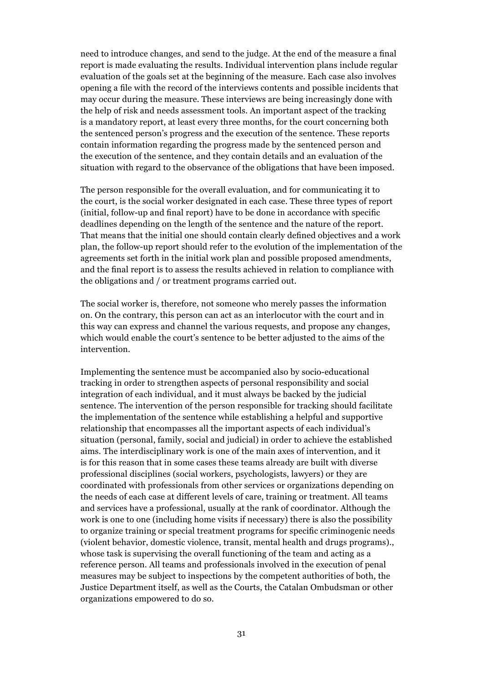need to introduce changes, and send to the judge. At the end of the measure a final report is made evaluating the results. Individual intervention plans include regular evaluation of the goals set at the beginning of the measure. Each case also involves opening a file with the record of the interviews contents and possible incidents that may occur during the measure. These interviews are being increasingly done with the help of risk and needs assessment tools. An important aspect of the tracking is a mandatory report, at least every three months, for the court concerning both the sentenced person's progress and the execution of the sentence. These reports contain information regarding the progress made by the sentenced person and the execution of the sentence, and they contain details and an evaluation of the situation with regard to the observance of the obligations that have been imposed.

The person responsible for the overall evaluation, and for communicating it to the court, is the social worker designated in each case. These three types of report (initial, follow-up and final report) have to be done in accordance with specific deadlines depending on the length of the sentence and the nature of the report. That means that the initial one should contain clearly defined objectives and a work plan, the follow-up report should refer to the evolution of the implementation of the agreements set forth in the initial work plan and possible proposed amendments, and the final report is to assess the results achieved in relation to compliance with the obligations and / or treatment programs carried out.

The social worker is, therefore, not someone who merely passes the information on. On the contrary, this person can act as an interlocutor with the court and in this way can express and channel the various requests, and propose any changes, which would enable the court's sentence to be better adjusted to the aims of the intervention.

Implementing the sentence must be accompanied also by socio-educational tracking in order to strengthen aspects of personal responsibility and social integration of each individual, and it must always be backed by the judicial sentence. The intervention of the person responsible for tracking should facilitate the implementation of the sentence while establishing a helpful and supportive relationship that encompasses all the important aspects of each individual's situation (personal, family, social and judicial) in order to achieve the established aims. The interdisciplinary work is one of the main axes of intervention, and it is for this reason that in some cases these teams already are built with diverse professional disciplines (social workers, psychologists, lawyers) or they are coordinated with professionals from other services or organizations depending on the needs of each case at different levels of care, training or treatment. All teams and services have a professional, usually at the rank of coordinator. Although the work is one to one (including home visits if necessary) there is also the possibility to organize training or special treatment programs for specific criminogenic needs (violent behavior, domestic violence, transit, mental health and drugs programs)., whose task is supervising the overall functioning of the team and acting as a reference person. All teams and professionals involved in the execution of penal measures may be subject to inspections by the competent authorities of both, the Justice Department itself, as well as the Courts, the Catalan Ombudsman or other organizations empowered to do so.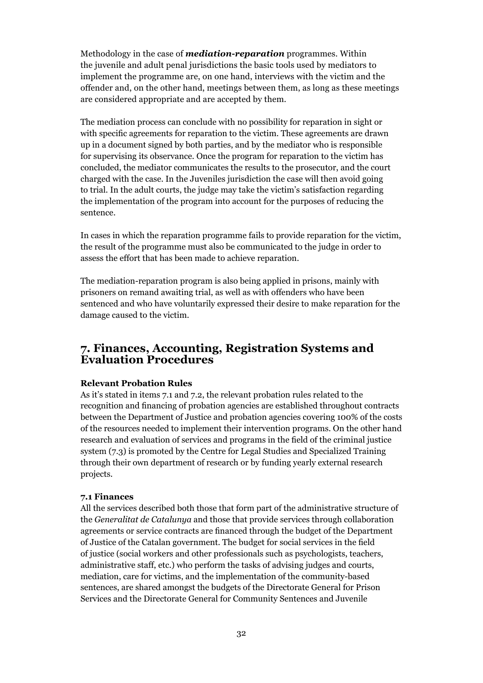Methodology in the case of *mediation-reparation* programmes. Within the juvenile and adult penal jurisdictions the basic tools used by mediators to implement the programme are, on one hand, interviews with the victim and the offender and, on the other hand, meetings between them, as long as these meetings are considered appropriate and are accepted by them.

The mediation process can conclude with no possibility for reparation in sight or with specific agreements for reparation to the victim. These agreements are drawn up in a document signed by both parties, and by the mediator who is responsible for supervising its observance. Once the program for reparation to the victim has concluded, the mediator communicates the results to the prosecutor, and the court charged with the case. In the Juveniles jurisdiction the case will then avoid going to trial. In the adult courts, the judge may take the victim's satisfaction regarding the implementation of the program into account for the purposes of reducing the sentence.

In cases in which the reparation programme fails to provide reparation for the victim, the result of the programme must also be communicated to the judge in order to assess the effort that has been made to achieve reparation.

The mediation-reparation program is also being applied in prisons, mainly with prisoners on remand awaiting trial, as well as with offenders who have been sentenced and who have voluntarily expressed their desire to make reparation for the damage caused to the victim.

### **7. Finances, Accounting, Registration Systems and Evaluation Procedures**

#### **Relevant Probation Rules**

As it's stated in items 7.1 and 7.2, the relevant probation rules related to the recognition and financing of probation agencies are established throughout contracts between the Department of Justice and probation agencies covering 100% of the costs of the resources needed to implement their intervention programs. On the other hand research and evaluation of services and programs in the field of the criminal justice system (7.3) is promoted by the Centre for Legal Studies and Specialized Training through their own department of research or by funding yearly external research projects.

#### **7.1 Finances**

All the services described both those that form part of the administrative structure of the *Generalitat de Catalunya* and those that provide services through collaboration agreements or service contracts are financed through the budget of the Department of Justice of the Catalan government. The budget for social services in the field of justice (social workers and other professionals such as psychologists, teachers, administrative staff, etc.) who perform the tasks of advising judges and courts, mediation, care for victims, and the implementation of the community-based sentences, are shared amongst the budgets of the Directorate General for Prison Services and the Directorate General for Community Sentences and Juvenile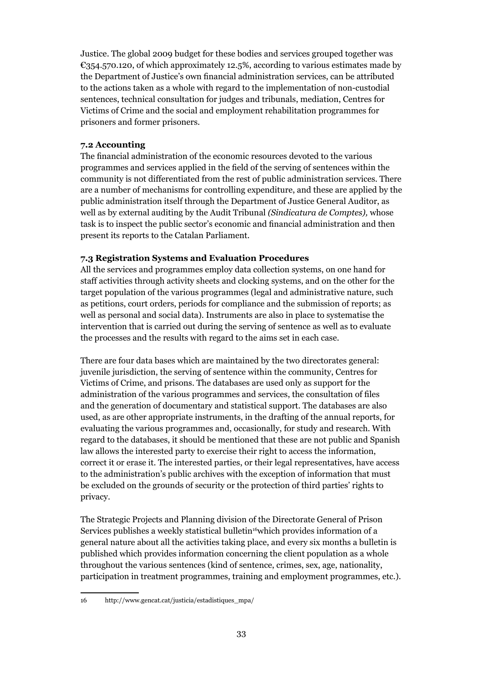Justice. The global 2009 budget for these bodies and services grouped together was  $\epsilon_{354.570.120}$ , of which approximately 12.5%, according to various estimates made by the Department of Justice's own financial administration services, can be attributed to the actions taken as a whole with regard to the implementation of non-custodial sentences, technical consultation for judges and tribunals, mediation, Centres for Victims of Crime and the social and employment rehabilitation programmes for prisoners and former prisoners.

#### **7.2 Accounting**

The financial administration of the economic resources devoted to the various programmes and services applied in the field of the serving of sentences within the community is not differentiated from the rest of public administration services. There are a number of mechanisms for controlling expenditure, and these are applied by the public administration itself through the Department of Justice General Auditor, as well as by external auditing by the Audit Tribunal *(Sindicatura de Comptes),* whose task is to inspect the public sector's economic and financial administration and then present its reports to the Catalan Parliament.

#### **7.3 Registration Systems and Evaluation Procedures**

All the services and programmes employ data collection systems, on one hand for staff activities through activity sheets and clocking systems, and on the other for the target population of the various programmes (legal and administrative nature, such as petitions, court orders, periods for compliance and the submission of reports; as well as personal and social data). Instruments are also in place to systematise the intervention that is carried out during the serving of sentence as well as to evaluate the processes and the results with regard to the aims set in each case.

There are four data bases which are maintained by the two directorates general: juvenile jurisdiction, the serving of sentence within the community, Centres for Victims of Crime, and prisons. The databases are used only as support for the administration of the various programmes and services, the consultation of files and the generation of documentary and statistical support. The databases are also used, as are other appropriate instruments, in the drafting of the annual reports, for evaluating the various programmes and, occasionally, for study and research. With regard to the databases, it should be mentioned that these are not public and Spanish law allows the interested party to exercise their right to access the information, correct it or erase it. The interested parties, or their legal representatives, have access to the administration's public archives with the exception of information that must be excluded on the grounds of security or the protection of third parties' rights to privacy.

The Strategic Projects and Planning division of the Directorate General of Prison Services publishes a weekly statistical bulletin<sup>16</sup>which provides information of a general nature about all the activities taking place, and every six months a bulletin is published which provides information concerning the client population as a whole throughout the various sentences (kind of sentence, crimes, sex, age, nationality, participation in treatment programmes, training and employment programmes, etc.).

<sup>16</sup> http://www.gencat.cat/justicia/estadistiques\_mpa/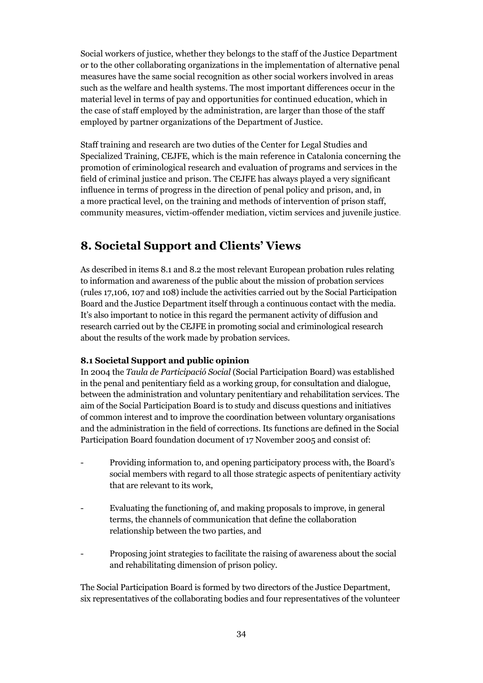Social workers of justice, whether they belongs to the staff of the Justice Department or to the other collaborating organizations in the implementation of alternative penal measures have the same social recognition as other social workers involved in areas such as the welfare and health systems. The most important differences occur in the material level in terms of pay and opportunities for continued education, which in the case of staff employed by the administration, are larger than those of the staff employed by partner organizations of the Department of Justice.

Staff training and research are two duties of the Center for Legal Studies and Specialized Training, CEJFE, which is the main reference in Catalonia concerning the promotion of criminological research and evaluation of programs and services in the field of criminal justice and prison. The CEJFE has always played a very significant influence in terms of progress in the direction of penal policy and prison, and, in a more practical level, on the training and methods of intervention of prison staff, community measures, victim-offender mediation, victim services and juvenile justice.

## **8. Societal Support and Clients' Views**

As described in items 8.1 and 8.2 the most relevant European probation rules relating to information and awareness of the public about the mission of probation services (rules 17,106, 107 and 108) include the activities carried out by the Social Participation Board and the Justice Department itself through a continuous contact with the media. It's also important to notice in this regard the permanent activity of diffusion and research carried out by the CEJFE in promoting social and criminological research about the results of the work made by probation services.

#### **8.1 Societal Support and public opinion**

In 2004 the *Taula de Participació Social* (Social Participation Board) was established in the penal and penitentiary field as a working group, for consultation and dialogue, between the administration and voluntary penitentiary and rehabilitation services. The aim of the Social Participation Board is to study and discuss questions and initiatives of common interest and to improve the coordination between voluntary organisations and the administration in the field of corrections. Its functions are defined in the Social Participation Board foundation document of 17 November 2005 and consist of:

- Providing information to, and opening participatory process with, the Board's social members with regard to all those strategic aspects of penitentiary activity that are relevant to its work,
- Evaluating the functioning of, and making proposals to improve, in general terms, the channels of communication that define the collaboration relationship between the two parties, and
- Proposing joint strategies to facilitate the raising of awareness about the social and rehabilitating dimension of prison policy.

The Social Participation Board is formed by two directors of the Justice Department, six representatives of the collaborating bodies and four representatives of the volunteer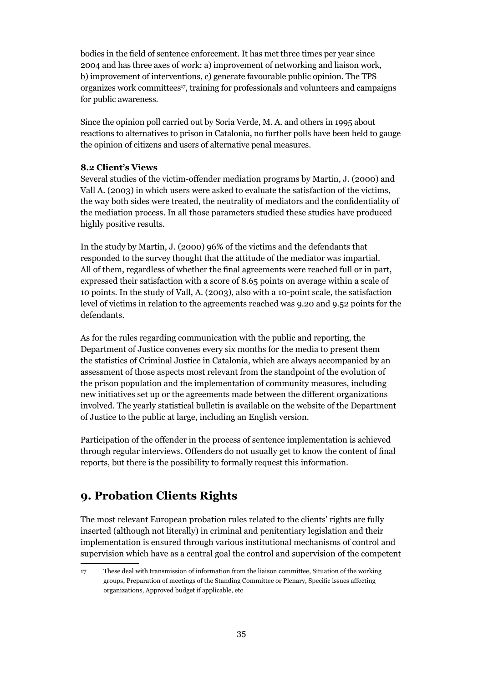bodies in the field of sentence enforcement. It has met three times per year since 2004 and has three axes of work: a) improvement of networking and liaison work, b) improvement of interventions, c) generate favourable public opinion. The TPS organizes work committees17, training for professionals and volunteers and campaigns for public awareness.

Since the opinion poll carried out by Soria Verde, M. A. and others in 1995 about reactions to alternatives to prison in Catalonia, no further polls have been held to gauge the opinion of citizens and users of alternative penal measures.

#### **8.2 Client's Views**

Several studies of the victim-offender mediation programs by Martin, J. (2000) and Vall A. (2003) in which users were asked to evaluate the satisfaction of the victims, the way both sides were treated, the neutrality of mediators and the confidentiality of the mediation process. In all those parameters studied these studies have produced highly positive results.

In the study by Martin, J. (2000) 96% of the victims and the defendants that responded to the survey thought that the attitude of the mediator was impartial. All of them, regardless of whether the final agreements were reached full or in part, expressed their satisfaction with a score of 8.65 points on average within a scale of 10 points. In the study of Vall, A. (2003), also with a 10-point scale, the satisfaction level of victims in relation to the agreements reached was 9.20 and 9.52 points for the defendants.

As for the rules regarding communication with the public and reporting, the Department of Justice convenes every six months for the media to present them the statistics of Criminal Justice in Catalonia, which are always accompanied by an assessment of those aspects most relevant from the standpoint of the evolution of the prison population and the implementation of community measures, including new initiatives set up or the agreements made between the different organizations involved. The yearly statistical bulletin is available on the website of the Department of Justice to the public at large, including an English version.

Participation of the offender in the process of sentence implementation is achieved through regular interviews. Offenders do not usually get to know the content of final reports, but there is the possibility to formally request this information.

#### **9. Probation Clients Rights**

The most relevant European probation rules related to the clients' rights are fully inserted (although not literally) in criminal and penitentiary legislation and their implementation is ensured through various institutional mechanisms of control and supervision which have as a central goal the control and supervision of the competent

<sup>17</sup> These deal with transmission of information from the liaison committee, Situation of the working groups, Preparation of meetings of the Standing Committee or Plenary, Specific issues affecting organizations, Approved budget if applicable, etc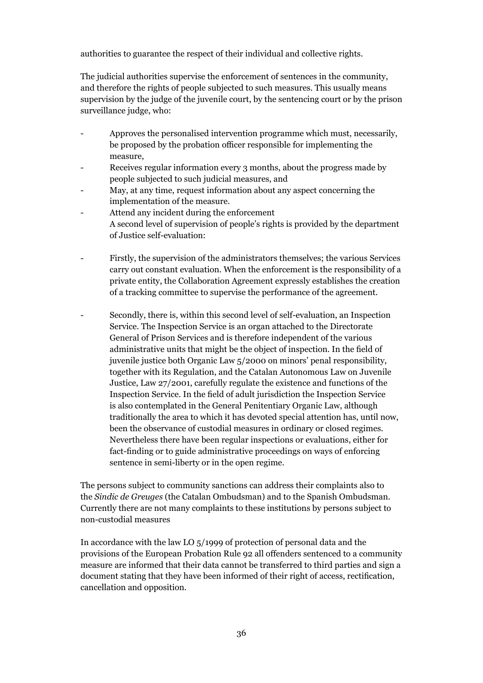authorities to guarantee the respect of their individual and collective rights.

The judicial authorities supervise the enforcement of sentences in the community, and therefore the rights of people subjected to such measures. This usually means supervision by the judge of the juvenile court, by the sentencing court or by the prison surveillance judge, who:

- Approves the personalised intervention programme which must, necessarily, be proposed by the probation officer responsible for implementing the measure,
- Receives regular information every 3 months, about the progress made by people subjected to such judicial measures, and
- May, at any time, request information about any aspect concerning the implementation of the measure.
- Attend any incident during the enforcement A second level of supervision of people's rights is provided by the department of Justice self-evaluation:
- Firstly, the supervision of the administrators themselves; the various Services carry out constant evaluation. When the enforcement is the responsibility of a private entity, the Collaboration Agreement expressly establishes the creation of a tracking committee to supervise the performance of the agreement.
- Secondly, there is, within this second level of self-evaluation, an Inspection Service. The Inspection Service is an organ attached to the Directorate General of Prison Services and is therefore independent of the various administrative units that might be the object of inspection. In the field of juvenile justice both Organic Law 5/2000 on minors' penal responsibility, together with its Regulation, and the Catalan Autonomous Law on Juvenile Justice, Law 27/2001, carefully regulate the existence and functions of the Inspection Service. In the field of adult jurisdiction the Inspection Service is also contemplated in the General Penitentiary Organic Law, although traditionally the area to which it has devoted special attention has, until now, been the observance of custodial measures in ordinary or closed regimes. Nevertheless there have been regular inspections or evaluations, either for fact-finding or to guide administrative proceedings on ways of enforcing sentence in semi-liberty or in the open regime.

The persons subject to community sanctions can address their complaints also to the *Sindic de Greuges* (the Catalan Ombudsman) and to the Spanish Ombudsman. Currently there are not many complaints to these institutions by persons subject to non-custodial measures

In accordance with the law LO 5/1999 of protection of personal data and the provisions of the European Probation Rule 92 all offenders sentenced to a community measure are informed that their data cannot be transferred to third parties and sign a document stating that they have been informed of their right of access, rectification, cancellation and opposition.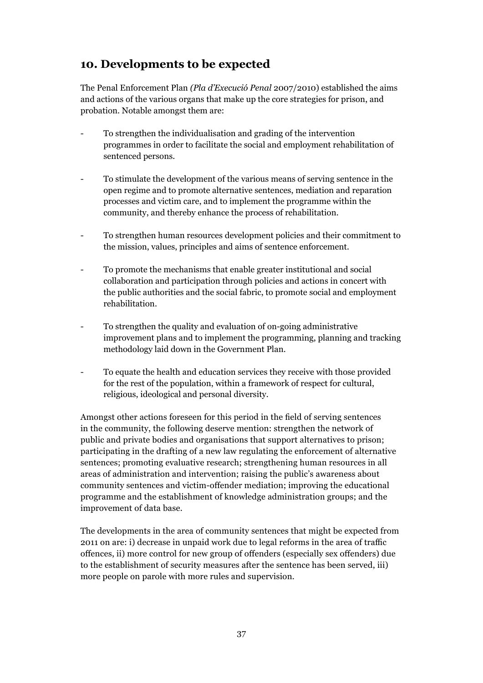## **10. Developments to be expected**

The Penal Enforcement Plan *(Pla d'Execució Penal* 2007/2010) established the aims and actions of the various organs that make up the core strategies for prison, and probation. Notable amongst them are:

- To strengthen the individualisation and grading of the intervention programmes in order to facilitate the social and employment rehabilitation of sentenced persons.
- To stimulate the development of the various means of serving sentence in the open regime and to promote alternative sentences, mediation and reparation processes and victim care, and to implement the programme within the community, and thereby enhance the process of rehabilitation.
- To strengthen human resources development policies and their commitment to the mission, values, principles and aims of sentence enforcement.
- To promote the mechanisms that enable greater institutional and social collaboration and participation through policies and actions in concert with the public authorities and the social fabric, to promote social and employment rehabilitation.
- To strengthen the quality and evaluation of on-going administrative improvement plans and to implement the programming, planning and tracking methodology laid down in the Government Plan.
- To equate the health and education services they receive with those provided for the rest of the population, within a framework of respect for cultural, religious, ideological and personal diversity.

Amongst other actions foreseen for this period in the field of serving sentences in the community, the following deserve mention: strengthen the network of public and private bodies and organisations that support alternatives to prison; participating in the drafting of a new law regulating the enforcement of alternative sentences; promoting evaluative research; strengthening human resources in all areas of administration and intervention; raising the public's awareness about community sentences and victim-offender mediation; improving the educational programme and the establishment of knowledge administration groups; and the improvement of data base.

The developments in the area of community sentences that might be expected from 2011 on are: i) decrease in unpaid work due to legal reforms in the area of traffic offences, ii) more control for new group of offenders (especially sex offenders) due to the establishment of security measures after the sentence has been served, iii) more people on parole with more rules and supervision.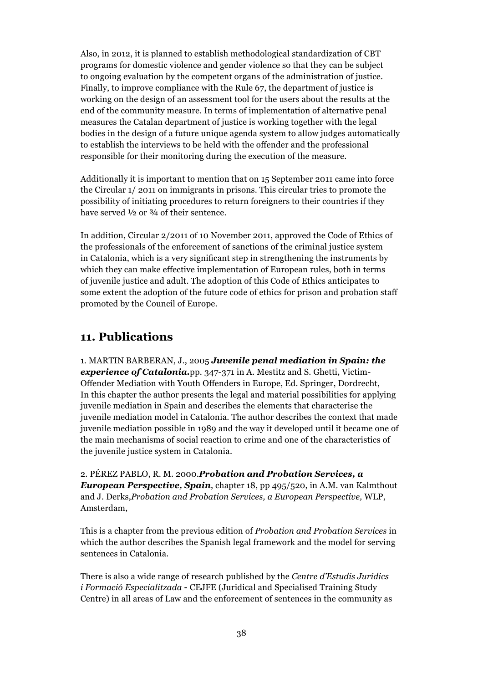Also, in 2012, it is planned to establish methodological standardization of CBT programs for domestic violence and gender violence so that they can be subject to ongoing evaluation by the competent organs of the administration of justice. Finally, to improve compliance with the Rule 67, the department of justice is working on the design of an assessment tool for the users about the results at the end of the community measure. In terms of implementation of alternative penal measures the Catalan department of justice is working together with the legal bodies in the design of a future unique agenda system to allow judges automatically to establish the interviews to be held with the offender and the professional responsible for their monitoring during the execution of the measure.

Additionally it is important to mention that on 15 September 2011 came into force the Circular 1/ 2011 on immigrants in prisons. This circular tries to promote the possibility of initiating procedures to return foreigners to their countries if they have served  $\frac{1}{2}$  or  $\frac{3}{4}$  of their sentence.

In addition, Circular 2/2011 of 10 November 2011, approved the Code of Ethics of the professionals of the enforcement of sanctions of the criminal justice system in Catalonia, which is a very significant step in strengthening the instruments by which they can make effective implementation of European rules, both in terms of juvenile justice and adult. The adoption of this Code of Ethics anticipates to some extent the adoption of the future code of ethics for prison and probation staff promoted by the Council of Europe.

### **11. Publications**

1. MARTIN BARBERAN, J., 2005 *Juvenile penal mediation in Spain: the experience of Catalonia.*pp. 347-371 in A. Mestitz and S. Ghetti, Victim-Offender Mediation with Youth Offenders in Europe, Ed. Springer, Dordrecht, In this chapter the author presents the legal and material possibilities for applying juvenile mediation in Spain and describes the elements that characterise the juvenile mediation model in Catalonia. The author describes the context that made juvenile mediation possible in 1989 and the way it developed until it became one of the main mechanisms of social reaction to crime and one of the characteristics of the juvenile justice system in Catalonia.

2. PÉREZ PABLO, R. M. 2000.*Probation and Probation Services, a European Perspective, Spain*, chapter 18, pp 495/520, in A.M. van Kalmthout and J. Derks,*Probation and Probation Services, a European Perspective,* WLP, Amsterdam,

This is a chapter from the previous edition of *Probation and Probation Services* in which the author describes the Spanish legal framework and the model for serving sentences in Catalonia.

There is also a wide range of research published by the *Centre d'Estudis Jurídics i Formació Especialitzada* **-** CEJFE (Juridical and Specialised Training Study Centre) in all areas of Law and the enforcement of sentences in the community as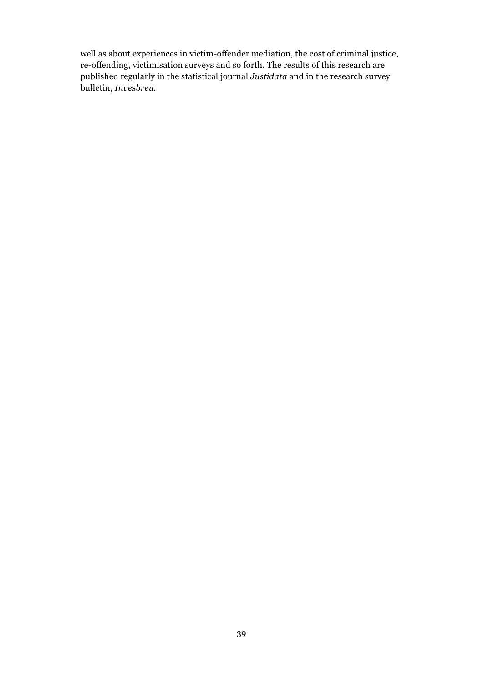well as about experiences in victim-offender mediation, the cost of criminal justice, re-offending, victimisation surveys and so forth. The results of this research are published regularly in the statistical journal *Justidata* and in the research survey bulletin, *Invesbreu.*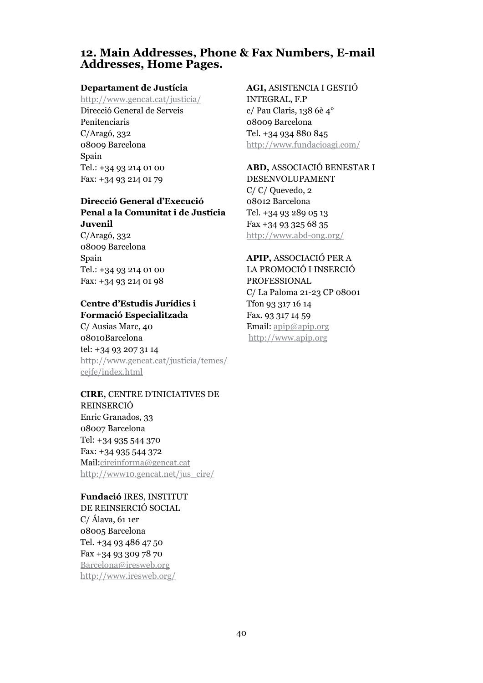#### **12. Main Addresses, Phone & Fax Numbers, E-mail Addresses, Home Pages.**

#### **Departament de Justícia**

http://www.gencat.cat/justicia/ Direcció General de Serveis Penitenciaris C/Aragó, 332 08009 Barcelona Spain Tel.: +34 93 214 01 00 Fax: +34 93 214 01 79

#### **Direcció General d'Execució Penal a la Comunitat i de Justícia Juvenil**

C/Aragó, 332 08009 Barcelona Spain Tel.: +34 93 214 01 00 Fax: +34 93 214 01 98

#### **Centre d'Estudis Jurídics i Formació Especialitzada**

C/ Ausias Marc, 40 08010Barcelona tel: +34 93 207 31 14 http://www.gencat.cat/justicia/temes/ cejfe/index.html

**CIRE,** CENTRE D'INICIATIVES DE REINSERCIÓ Enric Granados, 33 08007 Barcelona Tel: +34 935 544 370 Fax: +34 935 544 372 Mail:cireinforma@gencat.cat http://www10.gencat.net/jus\_cire/

#### **Fundació** IRES, INSTITUT

DE REINSERCIÓ SOCIAL C/ Álava, 61 1er 08005 Barcelona Tel. +34 93 486 47 50 Fax +34 93 309 78 70 Barcelona@iresweb.org http://www.iresweb.org/

#### **AGI,** ASISTENCIA I GESTIÓ

INTEGRAL, F.P c/ Pau Claris, 138 6è 4° 08009 Barcelona Tel. +34 934 880 845 http://www.fundacioagi.com/

**ABD,** ASSOCIACIÓ BENESTAR I DESENVOLUPAMENT C/ C/ Quevedo, 2 08012 Barcelona Tel. +34 93 289 05 13 Fax +34 93 325 68 35 http://www.abd-ong.org/

**APIP,** ASSOCIACIÓ PER A LA PROMOCIÓ I INSERCIÓ PROFESSIONAL C/ La Paloma 21-23 CP 08001 Tfon 93 317 16 14 Fax. 93 317 14 59 Email: apip@apip.org http://www.apip.org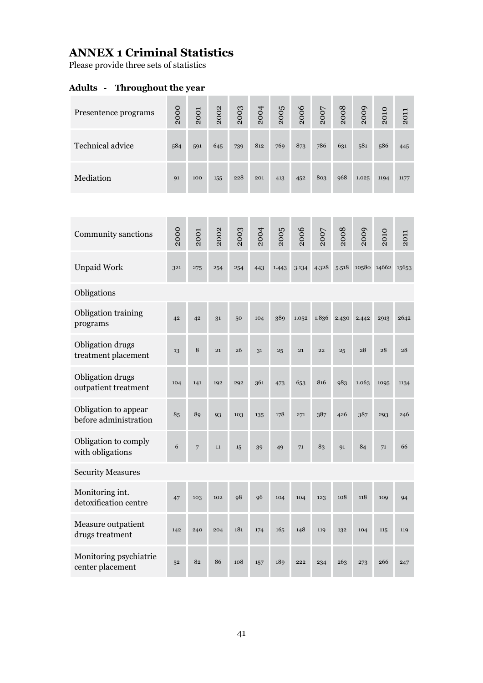## **ANNEX 1 Criminal Statistics**

Please provide three sets of statistics

## **Adults - Throughout the year**

| Presentence programs                          | 2000 | 2001 | 2002 | 2003 | 2004 | 2005  | 2006  | 2007  | 2008  | 2009  | 2010              | 2011 |
|-----------------------------------------------|------|------|------|------|------|-------|-------|-------|-------|-------|-------------------|------|
| Technical advice                              | 584  | 591  | 645  | 739  | 812  | 769   | 873   | 786   | 631   | 581   | 586               | 445  |
| Mediation                                     | 91   | 100  | 155  | 228  | 201  | 413   | 452   | 803   | 968   | 1.025 | 1194              | 1177 |
|                                               |      |      |      |      |      |       |       |       |       |       |                   |      |
| Community sanctions                           | 2000 | 2001 | 2002 | 2003 | 2004 | 2005  | 2006  | 2007  | 2008  | 2009  | 2010              | 2011 |
| <b>Unpaid Work</b>                            | 321  | 275  | 254  | 254  | 443  | 1.443 | 3.134 | 4.328 | 5.518 |       | 10580 14662 15653 |      |
| Obligations                                   |      |      |      |      |      |       |       |       |       |       |                   |      |
| Obligation training<br>programs               | 42   | 42   | 31   | 50   | 104  | 389   | 1.052 | 1.836 | 2.430 | 2.442 | 2913              | 2642 |
| Obligation drugs<br>treatment placement       | 13   | 8    | 21   | 26   | 31   | 25    | 21    | 22    | 25    | 28    | 28                | 28   |
| Obligation drugs<br>outpatient treatment      | 104  | 141  | 192  | 292  | 361  | 473   | 653   | 816   | 983   | 1.063 | 1095              | 1134 |
| Obligation to appear<br>before administration | 85   | 89   | 93   | 103  | 135  | 178   | 271   | 387   | 426   | 387   | 293               | 246  |
| Obligation to comply<br>with obligations      | 6    | 7    | 11   | 15   | 39   | 49    | 71    | 83    | Q1    | 84    | 71                | 66   |
| <b>Security Measures</b>                      |      |      |      |      |      |       |       |       |       |       |                   |      |
| Monitoring int.<br>detoxification centre      | 47   | 103  | 102  | 98   | 96   | 104   | 104   | 123   | 108   | 118   | 109               | 94   |
| Measure outpatient<br>drugs treatment         | 142  | 240  | 204  | 181  | 174  | 165   | 148   | 119   | 132   | 104   | 115               | 119  |
| Monitoring psychiatrie<br>center placement    | 52   | 82   | 86   | 108  | 157  | 189   | 222   | 234   | 263   | 273   | 266               | 247  |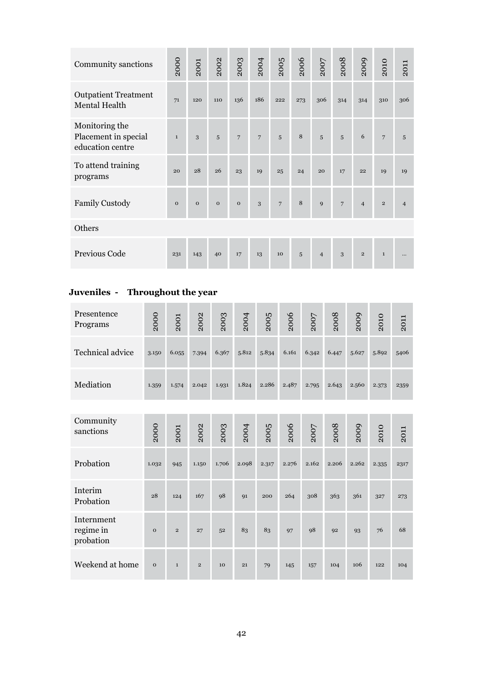| Community sanctions                                        | 2000         | 2001         | 2002         | 2003           | 2004           | 2005            | 2006 | 2007           | 2008            | 2009           | 2010           | 2011           |
|------------------------------------------------------------|--------------|--------------|--------------|----------------|----------------|-----------------|------|----------------|-----------------|----------------|----------------|----------------|
| <b>Outpatient Treatment</b><br>Mental Health               | 71           | 120          | 110          | 136            | 186            | 222             | 273  | 306            | 314             | 314            | 310            | 306            |
| Monitoring the<br>Placement in special<br>education centre | $\mathbf 1$  | 3            | 5            | $\overline{7}$ | $\overline{7}$ | 5               | 8    | 5              | 5               | 6              | $\overline{7}$ | 5              |
| To attend training<br>programs                             | 20           | 28           | 26           | 23             | 19             | 25              | 24   | 20             | 17              | 22             | 19             | 19             |
| <b>Family Custody</b>                                      | $\mathbf{O}$ | $\mathbf{O}$ | $\mathbf{O}$ | $\mathbf{O}$   | 3              | $7\overline{ }$ | 8    | $\mathbf{Q}$   | $7\overline{ }$ | $\overline{4}$ | $\overline{2}$ | $\overline{4}$ |
| Others                                                     |              |              |              |                |                |                 |      |                |                 |                |                |                |
| Previous Code                                              | 231          | 143          | 40           | 17             | 13             | 10              | 5    | $\overline{4}$ | 3               | $\overline{2}$ | $\mathbf{1}$   |                |

## **Juveniles - Throughout the year**

| Presentence<br>Programs              | 2000         | 2001           | 2002         | 2003  | 2004  | 2005  | 2006  | 2007  | 2008  | 2009  | 2010  | 2011 |
|--------------------------------------|--------------|----------------|--------------|-------|-------|-------|-------|-------|-------|-------|-------|------|
| Technical advice                     | 3.150        | 6.055          | 7.394        | 6.367 | 5.812 | 5.834 | 6.161 | 6.342 | 6.447 | 5.627 | 5.892 | 5406 |
| Mediation                            | 1.359        | 1.574          | 2.042        | 1.931 | 1.824 | 2.286 | 2.487 | 2.795 | 2.643 | 2.560 | 2.373 | 2359 |
|                                      |              |                |              |       |       |       |       |       |       |       |       |      |
| Community<br>sanctions               | 2000         | 2001           | 2002         | 2003  | 2004  | 2005  | 2006  | 2007  | 2008  | 2009  | 2010  | 2011 |
| Probation                            | 1.032        | 945            | 1.150        | 1.706 | 2.098 | 2.317 | 2.276 | 2.162 | 2.206 | 2.262 | 2.335 | 2317 |
| Interim<br>Probation                 | 28           | 124            | 167          | 98    | 91    | 200   | 264   | 308   | 363   | 361   | 327   | 273  |
| Internment<br>regime in<br>probation | $\mathbf{o}$ | $\overline{2}$ | 27           | 52    | 83    | 83    | 97    | 98    | 92    | 93    | 76    | 68   |
| Weekend at home                      | $\mathbf{o}$ | $\mathbf{1}$   | $\mathbf{2}$ | 10    | 21    | 79    | 145   | 157   | 104   | 106   | 122   | 104  |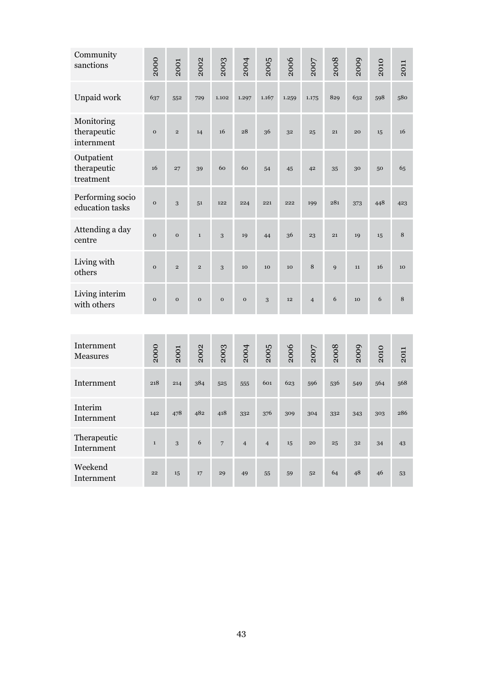| Community<br>sanctions                  | 2000        | 2001           | 2002           | 2003           | 2004           | 2005           | 2006  | 2007           | 2008 | 2009 | 2010 | 2011 |
|-----------------------------------------|-------------|----------------|----------------|----------------|----------------|----------------|-------|----------------|------|------|------|------|
| Unpaid work                             | 637         | 552            | 729            | 1.102          | 1.297          | 1.167          | 1.259 | 1.175          | 829  | 632  | 598  | 580  |
| Monitoring<br>therapeutic<br>internment | $\mathbf 0$ | $\overline{2}$ | 14             | 16             | 28             | 36             | 32    | 25             | 21   | 20   | 15   | 16   |
| Outpatient<br>therapeutic<br>treatment  | 16          | 27             | 39             | 60             | 60             | 54             | 45    | 42             | 35   | 30   | 50   | 65   |
| Performing socio<br>education tasks     | $\mathbf 0$ | 3              | 51             | 122            | 224            | 221            | 222   | 199            | 281  | 373  | 448  | 423  |
| Attending a day<br>centre               | $\mathbf 0$ | $\mathbf 0$    | $\mathbf 1$    | 3              | 19             | 44             | 36    | 23             | 21   | 19   | 15   | 8    |
| Living with<br>others                   | $\mathbf 0$ | $\overline{2}$ | $\overline{2}$ | 3              | 10             | 10             | 10    | 8              | 9    | 11   | 16   | 10   |
| Living interim<br>with others           | $\mathbf 0$ | $\mathbf 0$    | $\mathbf 0$    | $\mathbf 0$    | $\mathbf{o}$   | 3              | 12    | $\overline{4}$ | 6    | 10   | 6    | 8    |
|                                         |             |                |                |                |                |                |       |                |      |      |      |      |
| Internment<br>Measures                  | 2000        | 2001           | 2002           | 2003           | 2004           | 2005           | 2006  | 2007           | 2008 | 2009 | 2010 | 2011 |
| Internment                              | 218         | 214            | 384            | 525            | 555            | 601            | 623   | 596            | 536  | 549  | 564  | 568  |
| Interim<br>Internment                   | 142         | 478            | 482            | 418            | 332            | 376            | 309   | 304            | 332  | 343  | 303  | 286  |
| Therapeutic<br>Internment               | $\mathbf 1$ | 3              | 6              | $\overline{7}$ | $\overline{4}$ | $\overline{4}$ | 15    | 20             | 25   | 32   | 34   | 43   |
| Weekend<br>Internment                   | 22          | 15             | $17\,$         | 29             | 49             | 55             | 59    | 52             | 64   | 48   | 46   | 53   |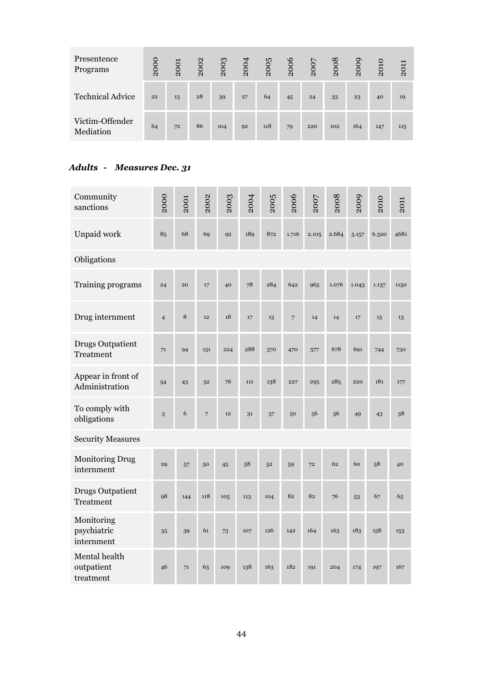| Presentence<br>Programs      | 2000 | 2001 | 2002 | 2003 | 2004 | 2005 | 2006 | 2007 | 2008 | 2009 | 2010 | 2011 |
|------------------------------|------|------|------|------|------|------|------|------|------|------|------|------|
| <b>Technical Advice</b>      | 22   | 13   | 28   | 39   | 27   | 64   | 45   | 24   | 33   | 23   | 40   | 19   |
| Victim-Offender<br>Mediation | 64   | 72   | 86   | 104  | 92   | 118  | 79   | 220  | 102  | 164  | 147  | 115  |

## *Adults - Measures Dec. 31*

| Community<br>sanctions                      | 2000           | 2001 | 2002           | 2003 | 2004 | 2005 | 2006           | 2007  | 2008  | 2009  | 2010  | 2011 |  |  |
|---------------------------------------------|----------------|------|----------------|------|------|------|----------------|-------|-------|-------|-------|------|--|--|
| Unpaid work                                 | 85             | 68   | 69             | 92   | 189  | 872  | 1.716          | 2.105 | 2.684 | 5.157 | 6.320 | 4681 |  |  |
| Obligations                                 |                |      |                |      |      |      |                |       |       |       |       |      |  |  |
| Training programs                           | 24             | 20   | 17             | 40   | 78   | 284  | 642            | 965   | 1.076 | 1.043 | 1.137 | 1150 |  |  |
| Drug internment                             | $\overline{4}$ | 8    | 12             | 18   | 17   | 13   | $\overline{7}$ | 14    | 14    | 17    | 15    | 13   |  |  |
| <b>Drugs Outpatient</b><br>Treatment        | 71             | 94   | 151            | 224  | 288  | 370  | 470            | 577   | 678   | 691   | 744   | 730  |  |  |
| Appear in front of<br>Administration        | 54             | 43   | 52             | 76   | 111  | 138  | 227            | 295   | 285   | 220   | 181   | 177  |  |  |
| To comply with<br>obligations               | 3              | 6    | $\overline{7}$ | 12   | 31   | 37   | 50             | 56    | 56    | 49    | 43    | 38   |  |  |
| <b>Security Measures</b>                    |                |      |                |      |      |      |                |       |       |       |       |      |  |  |
| <b>Monitoring Drug</b><br>internment        | 29             | 57   | 50             | 45   | 58   | 52   | 59             | 72    | 62    | 60    | 58    | 40   |  |  |
| <b>Drugs Outpatient</b><br><b>Treatment</b> | 98             | 144  | 118            | 105  | 113  | 104  | 82             | 82    | 76    | 53    | 67    | 65   |  |  |
| Monitoring<br>psychiatric<br>internment     | 35             | 39   | 61             | 73   | 107  | 126  | 142            | 164   | 163   | 183   | 158   | 153  |  |  |
| Mental health<br>outpatient<br>treatment    | 46             | 71   | 63             | 109  | 138  | 163  | 182            | 191   | 204   | 174   | 197   | 167  |  |  |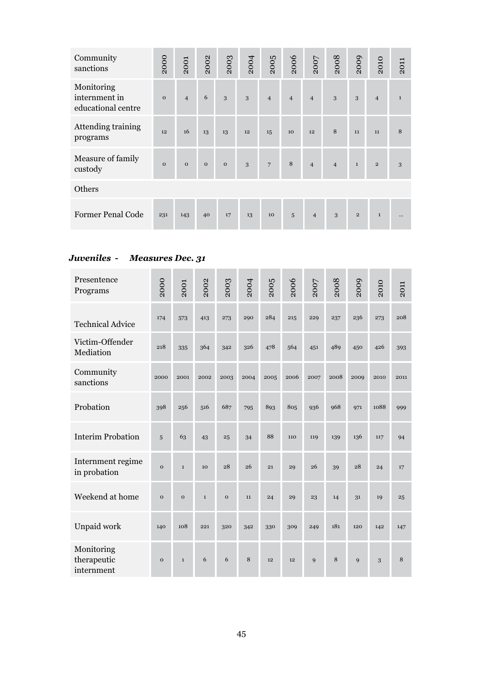| Community<br>sanctions                            | 2000         | 2001           | 2002        | 2003        | 2004 | 2005           | 2006           | 2007           | 2008           | 2009         | 2010           | 2011         |  |
|---------------------------------------------------|--------------|----------------|-------------|-------------|------|----------------|----------------|----------------|----------------|--------------|----------------|--------------|--|
| Monitoring<br>internment in<br>educational centre | $\mathbf 0$  | $\overline{4}$ | 6           | 3           | 3    | $\overline{4}$ | $\overline{4}$ | $\overline{4}$ | 3              | 3            | $\overline{4}$ | $\mathbf{1}$ |  |
| Attending training<br>programs                    | 12           | 16             | 13          | 13          | 12   | 15             | 10             | 12             | 8              | 11           | 11             | 8            |  |
| Measure of family<br>custody                      | $\mathbf{O}$ | $\mathbf{O}$   | $\mathbf 0$ | $\mathbf 0$ | 3    | 7              | 8              | $\overline{4}$ | $\overline{4}$ | $\mathbf{1}$ | $\mathbf 2$    | 3            |  |
| Others                                            |              |                |             |             |      |                |                |                |                |              |                |              |  |
| Former Penal Code                                 | 231          | 143            | 40          | 17          | 13   | 10             | $\overline{5}$ | $\overline{4}$ | 3              | $\mathbf 2$  | $\mathbf{1}$   | $\cdots$     |  |

#### *Juveniles - Measures Dec. 31*

| Presentence<br>Programs                 | 2000         | 2001         | 2002         | 2003        | 2004 | 2005 | 2006 | 2007         | 2008 | 2009         | 2010 | 2011 |
|-----------------------------------------|--------------|--------------|--------------|-------------|------|------|------|--------------|------|--------------|------|------|
| <b>Technical Advice</b>                 | 174          | 573          | 413          | 273         | 290  | 284  | 215  | 229          | 237  | 236          | 273  | 208  |
| Victim-Offender<br>Mediation            | 218          | 335          | 364          | 342         | 326  | 478  | 564  | 451          | 489  | 450          | 426  | 393  |
| Community<br>sanctions                  | 2000         | 2001         | 2002         | 2003        | 2004 | 2005 | 2006 | 2007         | 2008 | 2009         | 2010 | 2011 |
| Probation                               | 398          | 256          | 516          | 687         | 795  | 893  | 805  | 936          | 968  | 971          | 1088 | 999  |
| <b>Interim Probation</b>                | 5            | 63           | 43           | 25          | 34   | 88   | 110  | 119          | 139  | 136          | 117  | 94   |
| Internment regime<br>in probation       | $\mathbf{o}$ | $\mathbf{1}$ | 10           | 28          | 26   | 21   | 29   | 26           | 39   | 28           | 24   | 17   |
| Weekend at home                         | $\mathbf{o}$ | $\mathbf{o}$ | $\mathbf{1}$ | $\mathbf 0$ | 11   | 24   | 29   | 23           | 14   | 31           | 19   | 25   |
| Unpaid work                             | 140          | 108          | 221          | 320         | 342  | 330  | 309  | 249          | 181  | 120          | 142  | 147  |
| Monitoring<br>therapeutic<br>internment | $\mathbf{o}$ | $\mathbf{1}$ | 6            | 6           | 8    | 12   | 12   | $\mathbf{q}$ | 8    | $\mathbf{Q}$ | 3    | 8    |